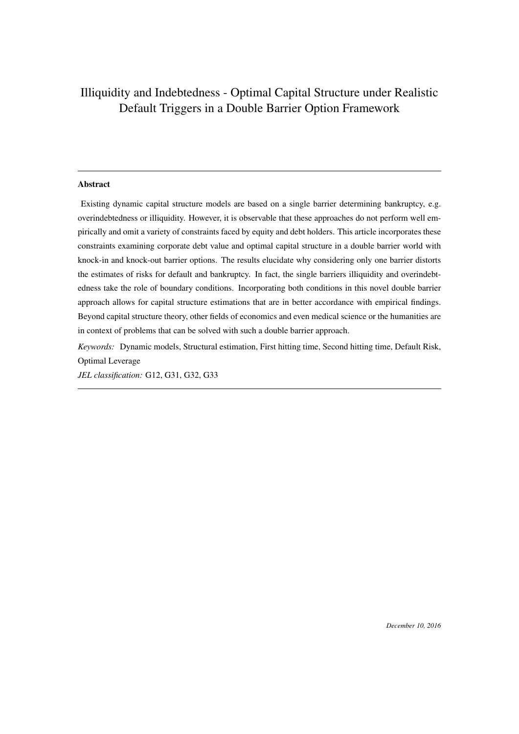# Illiquidity and Indebtedness - Optimal Capital Structure under Realistic Default Triggers in a Double Barrier Option Framework

### Abstract

Existing dynamic capital structure models are based on a single barrier determining bankruptcy, e.g. overindebtedness or illiquidity. However, it is observable that these approaches do not perform well empirically and omit a variety of constraints faced by equity and debt holders. This article incorporates these constraints examining corporate debt value and optimal capital structure in a double barrier world with knock-in and knock-out barrier options. The results elucidate why considering only one barrier distorts the estimates of risks for default and bankruptcy. In fact, the single barriers illiquidity and overindebtedness take the role of boundary conditions. Incorporating both conditions in this novel double barrier approach allows for capital structure estimations that are in better accordance with empirical findings. Beyond capital structure theory, other fields of economics and even medical science or the humanities are in context of problems that can be solved with such a double barrier approach.

*Keywords:* Dynamic models, Structural estimation, First hitting time, Second hitting time, Default Risk, Optimal Leverage

*JEL classification:* G12, G31, G32, G33

*December 10, 2016*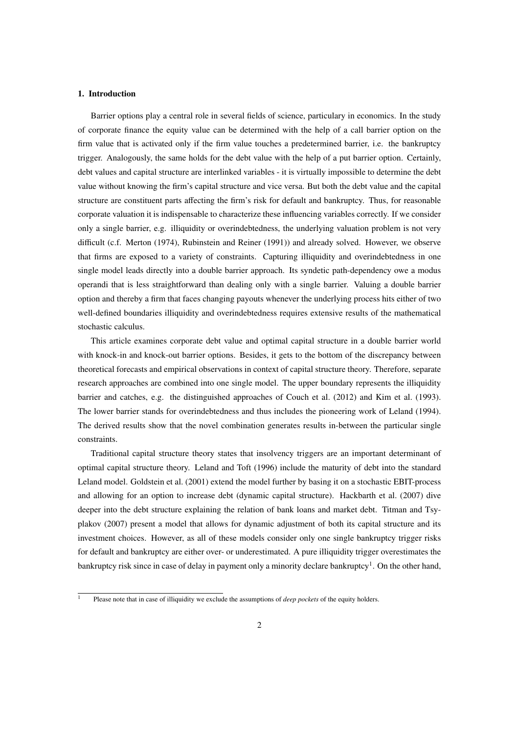#### 1. Introduction

Barrier options play a central role in several fields of science, particulary in economics. In the study of corporate finance the equity value can be determined with the help of a call barrier option on the firm value that is activated only if the firm value touches a predetermined barrier, i.e. the bankruptcy trigger. Analogously, the same holds for the debt value with the help of a put barrier option. Certainly, debt values and capital structure are interlinked variables - it is virtually impossible to determine the debt value without knowing the firm's capital structure and vice versa. But both the debt value and the capital structure are constituent parts affecting the firm's risk for default and bankruptcy. Thus, for reasonable corporate valuation it is indispensable to characterize these influencing variables correctly. If we consider only a single barrier, e.g. illiquidity or overindebtedness, the underlying valuation problem is not very difficult (c.f. Merton (1974), Rubinstein and Reiner (1991)) and already solved. However, we observe that firms are exposed to a variety of constraints. Capturing illiquidity and overindebtedness in one single model leads directly into a double barrier approach. Its syndetic path-dependency owe a modus operandi that is less straightforward than dealing only with a single barrier. Valuing a double barrier option and thereby a firm that faces changing payouts whenever the underlying process hits either of two well-defined boundaries illiquidity and overindebtedness requires extensive results of the mathematical stochastic calculus.

This article examines corporate debt value and optimal capital structure in a double barrier world with knock-in and knock-out barrier options. Besides, it gets to the bottom of the discrepancy between theoretical forecasts and empirical observations in context of capital structure theory. Therefore, separate research approaches are combined into one single model. The upper boundary represents the illiquidity barrier and catches, e.g. the distinguished approaches of Couch et al. (2012) and Kim et al. (1993). The lower barrier stands for overindebtedness and thus includes the pioneering work of Leland (1994). The derived results show that the novel combination generates results in-between the particular single constraints.

Traditional capital structure theory states that insolvency triggers are an important determinant of optimal capital structure theory. Leland and Toft (1996) include the maturity of debt into the standard Leland model. Goldstein et al. (2001) extend the model further by basing it on a stochastic EBIT-process and allowing for an option to increase debt (dynamic capital structure). Hackbarth et al. (2007) dive deeper into the debt structure explaining the relation of bank loans and market debt. Titman and Tsyplakov (2007) present a model that allows for dynamic adjustment of both its capital structure and its investment choices. However, as all of these models consider only one single bankruptcy trigger risks for default and bankruptcy are either over- or underestimated. A pure illiquidity trigger overestimates the bankruptcy risk since in case of delay in payment only a minority declare bankruptcy<sup>1</sup>. On the other hand,

<sup>&</sup>lt;sup>1</sup> Please note that in case of illiquidity we exclude the assumptions of *deep pockets* of the equity holders.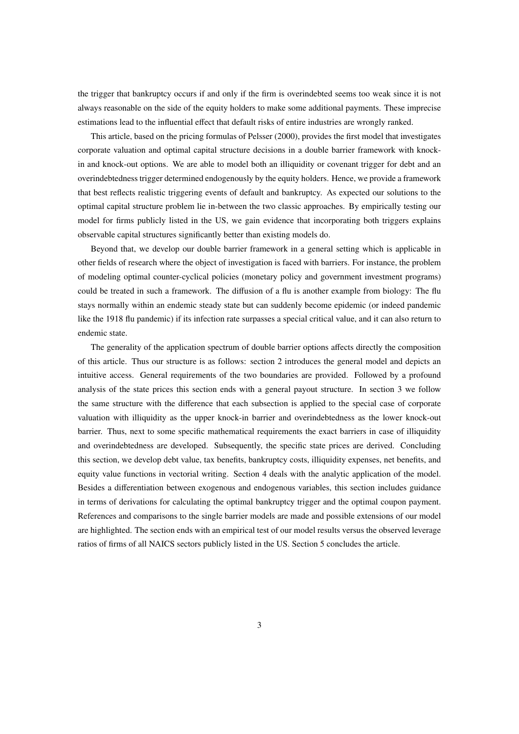the trigger that bankruptcy occurs if and only if the firm is overindebted seems too weak since it is not always reasonable on the side of the equity holders to make some additional payments. These imprecise estimations lead to the influential effect that default risks of entire industries are wrongly ranked.

This article, based on the pricing formulas of Pelsser (2000), provides the first model that investigates corporate valuation and optimal capital structure decisions in a double barrier framework with knockin and knock-out options. We are able to model both an illiquidity or covenant trigger for debt and an overindebtedness trigger determined endogenously by the equity holders. Hence, we provide a framework that best reflects realistic triggering events of default and bankruptcy. As expected our solutions to the optimal capital structure problem lie in-between the two classic approaches. By empirically testing our model for firms publicly listed in the US, we gain evidence that incorporating both triggers explains observable capital structures significantly better than existing models do.

Beyond that, we develop our double barrier framework in a general setting which is applicable in other fields of research where the object of investigation is faced with barriers. For instance, the problem of modeling optimal counter-cyclical policies (monetary policy and government investment programs) could be treated in such a framework. The diffusion of a flu is another example from biology: The flu stays normally within an endemic steady state but can suddenly become epidemic (or indeed pandemic like the 1918 flu pandemic) if its infection rate surpasses a special critical value, and it can also return to endemic state.

The generality of the application spectrum of double barrier options affects directly the composition of this article. Thus our structure is as follows: section 2 introduces the general model and depicts an intuitive access. General requirements of the two boundaries are provided. Followed by a profound analysis of the state prices this section ends with a general payout structure. In section 3 we follow the same structure with the difference that each subsection is applied to the special case of corporate valuation with illiquidity as the upper knock-in barrier and overindebtedness as the lower knock-out barrier. Thus, next to some specific mathematical requirements the exact barriers in case of illiquidity and overindebtedness are developed. Subsequently, the specific state prices are derived. Concluding this section, we develop debt value, tax benefits, bankruptcy costs, illiquidity expenses, net benefits, and equity value functions in vectorial writing. Section 4 deals with the analytic application of the model. Besides a differentiation between exogenous and endogenous variables, this section includes guidance in terms of derivations for calculating the optimal bankruptcy trigger and the optimal coupon payment. References and comparisons to the single barrier models are made and possible extensions of our model are highlighted. The section ends with an empirical test of our model results versus the observed leverage ratios of firms of all NAICS sectors publicly listed in the US. Section 5 concludes the article.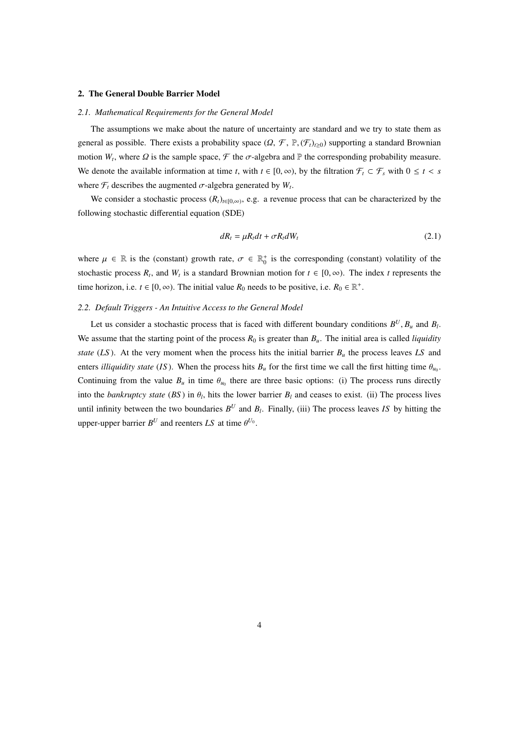#### 2. The General Double Barrier Model

#### *2.1. Mathematical Requirements for the General Model*

The assumptions we make about the nature of uncertainty are standard and we try to state them as general as possible. There exists a probability space  $(\Omega, \mathcal{F}, \mathbb{P}, (\mathcal{F}_t)_{t\geq 0})$  supporting a standard Brownian motion  $W_t$ , where  $\Omega$  is the sample space,  $\mathcal F$  the  $\sigma$ -algebra and  $\mathbb P$  the corresponding probability measure. We denote the available information at time *t*, with  $t \in [0, \infty)$ , by the filtration  $\mathcal{F}_t \subset \mathcal{F}_s$  with  $0 \le t < s$ where  $\mathcal{F}_t$  describes the augmented  $\sigma$ -algebra generated by  $W_t$ .

We consider a stochastic process  $(R_t)_{t \in [0,\infty)}$ , e.g. a revenue process that can be characterized by the following stochastic differential equation (SDE)

$$
dR_t = \mu R_t dt + \sigma R_t dW_t \tag{2.1}
$$

where  $\mu \in \mathbb{R}$  is the (constant) growth rate,  $\sigma \in \mathbb{R}_0^+$  is the corresponding (constant) volatility of the stochastic process  $R_t$ , and  $W_t$  is a standard Brownian motion for  $t \in [0, \infty)$ . The index *t* represents the time horizon, i.e.  $t \in [0, \infty)$ . The initial value  $R_0$  needs to be positive, i.e.  $R_0 \in \mathbb{R}^+$ .

#### *2.2. Default Triggers - An Intuitive Access to the General Model*

Let us consider a stochastic process that is faced with different boundary conditions  $B^U$ ,  $B_u$  and  $B_l$ . We assume that the starting point of the process  $R_0$  is greater than  $B_u$ . The initial area is called *liquidity state* ( $LS$ ). At the very moment when the process hits the initial barrier  $B<sub>u</sub>$  the process leaves  $LS$  and enters *illiquidity state* (*IS*). When the process hits  $B_u$  for the first time we call the first hitting time  $\theta_{u_0}$ . Continuing from the value  $B_u$  in time  $\theta_{u_0}$  there are three basic options: (i) The process runs directly into the *bankruptcy state* (*BS*) in  $\theta_l$ , hits the lower barrier  $B_l$  and ceases to exist. (ii) The process lives until infinity between the two boundaries  $B^U$  and  $B_l$ . Finally, (iii) The process leaves *IS* by hitting the upper-upper barrier  $B^U$  and reenters LS at time  $\theta^{U_0}$ .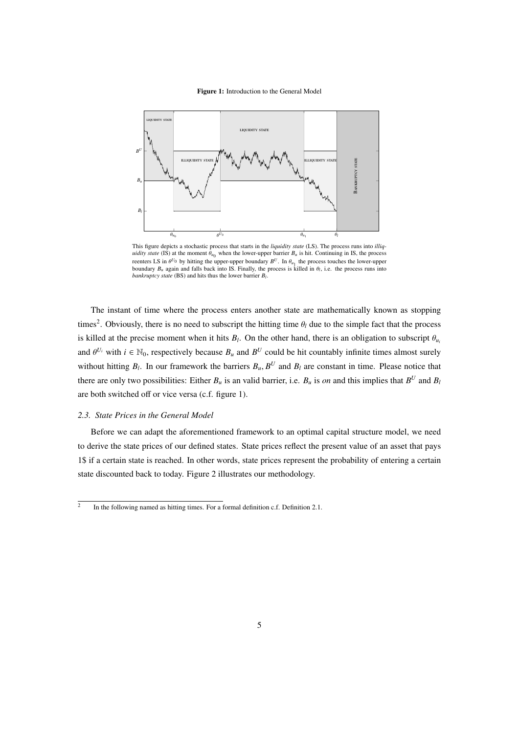Figure 1: Introduction to the General Model



This figure depicts a stochastic process that starts in the *liquidity state* (LS). The process runs into *illiquidity state* (IS) at the moment  $\theta_{u_0}$  when the lower-upper barrier  $B_u$  is hit. Continuing in IS, the process reenters LS in  $\theta^{U_0}$  by hitting the upper-upper boundary  $B^U$ . In  $\theta_{u_1}$  the process touches the lower-upper boundary  $B_u$  again and falls back into IS. Finally, the process is killed in  $\theta_l$ , i.e. the process runs into *bankruptcy state* (BS) and hits thus the lower barrier *B<sup>l</sup>* .

The instant of time where the process enters another state are mathematically known as stopping times<sup>2</sup>. Obviously, there is no need to subscript the hitting time  $\theta_l$  due to the simple fact that the process is killed at the precise moment when it hits  $B_l$ . On the other hand, there is an obligation to subscript  $\theta_{u_l}$ and  $\theta^{U_i}$  with  $i \in \mathbb{N}_0$ , respectively because  $B_u$  and  $B^U$  could be hit countably infinite times almost surely without hitting  $B_l$ . In our framework the barriers  $B_u$ ,  $B^U$  and  $B_l$  are constant in time. Please notice that there are only two possibilities: Either  $B_u$  is an valid barrier, i.e.  $B_u$  is *on* and this implies that  $B^U$  and  $B_l$ are both switched off or vice versa (c.f. figure 1).

#### *2.3. State Prices in the General Model*

Before we can adapt the aforementioned framework to an optimal capital structure model, we need to derive the state prices of our defined states. State prices reflect the present value of an asset that pays 1\$ if a certain state is reached. In other words, state prices represent the probability of entering a certain state discounted back to today. Figure 2 illustrates our methodology.

<sup>2</sup> In the following named as hitting times. For a formal definition c.f. Definition 2.1.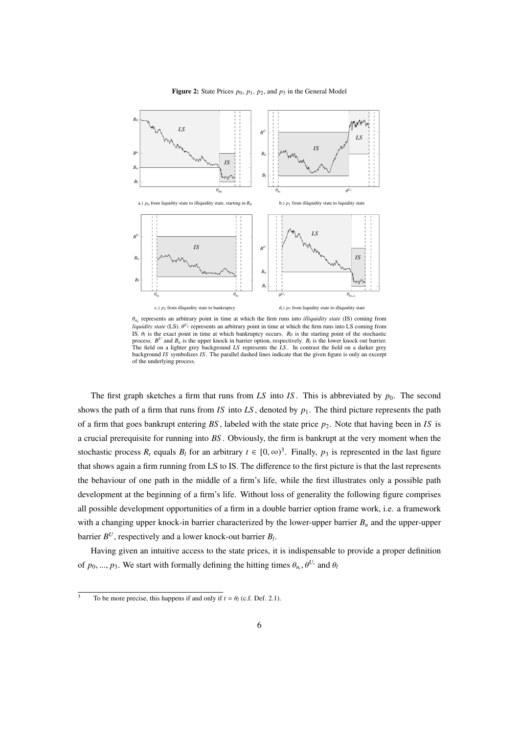

Figure 2: State Prices  $p_0$ ,  $p_1$ ,  $p_2$ , and  $p_3$  in the General Model

θ*ui* represents an arbitrary point in time at which the firm runs into *illiquidity state* (IS) coming from *liquidity state* (LS).  $\theta^{U_i}$  represents an arbitrary point in time at which the firm runs into LS coming from IS.  $\theta_l$  is the exact point in time at which bankruptcy occurs.  $R_0$  is the starting point of the stochastic process.  $B^U$  and  $B_u$  is the upper knock in barrier option, respectively.  $B_l$  is the lower knock out barrie The field on a lighter grey background *LS* represents the *LS* . In contrast the field on a darker grey background *IS* symbolizes *IS* . The parallel dashed lines indicate that the given figure is only an excerpt of the underlying process.

stochastic process  $R_t$  equals  $B_t$  for an arbitrary  $t \in [0, \infty)^3$ . Finally,  $p_3$  is represented in the last figure The first graph sketches a firm that runs from *LS* into *IS*. This is abbreviated by  $p_0$ . The second shows the path of a firm that runs from *IS* into *LS*, denoted by  $p_1$ . The third picture represents the path of a firm that goes bankrupt entering  $BS$ , labeled with the state price  $p_2$ . Note that having been in *IS* is a crucial prerequisite for running into *BS* . Obviously, the firm is bankrupt at the very moment when the that shows again a firm running from LS to IS. The difference to the first picture is that the last represents the behaviour of one path in the middle of a firm's life, while the first illustrates only a possible path development at the beginning of a firm's life. Without loss of generality the following figure comprises all possible development opportunities of a firm in a double barrier option frame work, i.e. a framework with a changing upper knock-in barrier characterized by the lower-upper barrier  $B<sub>u</sub>$  and the upper-upper barrier  $B^U$ , respectively and a lower knock-out barrier  $B_l$ .

Having given an intuitive access to the state prices, it is indispensable to provide a proper definition of  $p_0, ..., p_3$ . We start with formally defining the hitting times  $\theta_{u_i}, \theta^{U_i}$  and  $\theta_i$ 

 $\overline{3}$  To be more precise, this happens if and only if  $t = \theta_l$  (c.f. Def. 2.1).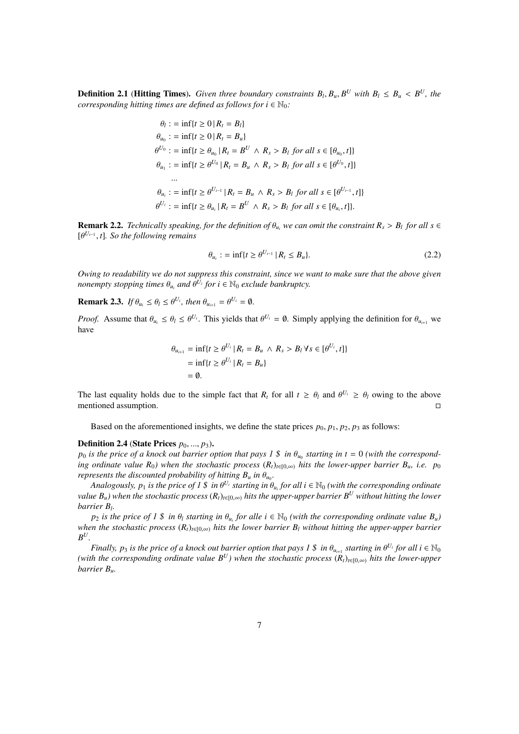**Definition 2.1 (Hitting Times).** Given three boundary constraints  $B_l, B_u, B^U$  with  $B_l \leq B_u < B^U$ , the *corresponding hitting times are defined as follows for*  $i \in \mathbb{N}_0$ *:* 

$$
\theta_l := \inf\{t \ge 0 \mid R_t = B_l\}
$$
  
\n
$$
\theta_{u_0} := \inf\{t \ge 0 \mid R_t = B_u\}
$$
  
\n
$$
\theta^{U_0} := \inf\{t \ge \theta_{u_0} \mid R_t = B^U \land R_s > B_l \text{ for all } s \in [\theta_{u_0}, t]\}
$$
  
\n
$$
\theta_{u_1} := \inf\{t \ge \theta^{U_0} \mid R_t = B_u \land R_s > B_l \text{ for all } s \in [\theta^{U_0}, t]\}
$$
  
\n...  
\n
$$
\theta_{u_i} := \inf\{t \ge \theta^{U_{i-1}} \mid R_t = B_u \land R_s > B_l \text{ for all } s \in [\theta^{U_{i-1}}, t]\}
$$
  
\n
$$
\theta^{U_i} := \inf\{t \ge \theta_{u_i} \mid R_t = B^U \land R_s > B_l \text{ for all } s \in [\theta_{u_i}, t]\}.
$$

**Remark 2.2.** *Technically speaking, for the definition of*  $\theta_{u_i}$  *we can omit the constraint*  $R_s > B_l$  *for all s*  $\in$ [θ *Ui*−<sup>1</sup> , *t*]*. So the following remains*

$$
\theta_{u_i} := \inf \{ t \ge \theta^{U_{i-1}} \, | \, R_t \le B_u \}. \tag{2.2}
$$

*Owing to readability we do not suppress this constraint, since we want to make sure that the above given nonempty stopping times*  $\theta_{u_i}$  and  $\overline{\theta^{U_i}}$  for  $i \in \mathbb{N}_0$  exclude bankruptcy.

**Remark 2.3.** *If*  $\theta_{u_i} \leq \theta_l \leq \theta^{U_i}$ , then  $\theta_{u_{i+1}} = \theta^{U_i} = \emptyset$ .

*Proof.* Assume that  $\theta_{u_i} \leq \theta_l \leq \theta^{U_i}$ . This yields that  $\theta^{U_i} = \emptyset$ . Simply applying the definition for  $\theta_{u_{i+1}}$  we have

$$
\theta_{u_{i+1}} = \inf\{t \ge \theta^{U_i} \mid R_t = B_u \land R_s > B_l \forall s \in [\theta^{U_i}, t]\}
$$
  
= 
$$
\inf\{t \ge \theta^{U_i} \mid R_t = B_u\}
$$
  
= 
$$
\emptyset.
$$

The last equality holds due to the simple fact that  $R_t$  for all  $t \geq \theta_l$  and  $\theta^{U_i} \geq \theta_l$  owing to the above mentioned assumption.

Based on the aforementioned insights, we define the state prices  $p_0$ ,  $p_1$ ,  $p_2$ ,  $p_3$  as follows:

#### **Definition 2.4 (State Prices**  $p_0, ..., p_3$ **).**

 $p_0$  is the price of a knock out barrier option that pays  $1 \text{ } \$ \text{ }$  in  $\theta_{u_0}$  starting in t = 0 (with the correspond*ing ordinate value*  $R_0$ *) when the stochastic process*  $(R_t)_{t \in [0,\infty)}$  *hits the lower-upper barrier*  $B_u$ *, i.e.*  $p_0$ *represents the discounted probability of hitting*  $B_u$  *in*  $\theta_{u_0}$ *.* 

*Analogously,*  $p_1$  *is the price of 1 \$ in*  $\theta^{U_i}$  *starting in*  $\theta_{u_i}$  *for all*  $i \in \mathbb{N}_0$  *(with the corresponding ordinate value B<sub>u</sub>)* when the stochastic process  $(R_t)_{t \in [0,\infty)}$  *hits the upper-upper barrier B<sup>U</sup> without hitting the lower barrier B<sup>l</sup> .*

 $p_2$  *is the price of 1 \$ in*  $\theta_l$  *starting in*  $\theta_{u_i}$  *for alle*  $i \in \mathbb{N}_0$  *(with the corresponding ordinate value*  $B_u$ *) when the stochastic process*  $(R_t)_{t\in[0,\infty)}$  *hits the lower barrier*  $B_l$  *without hitting the upper-upper barrier*  $B^U$ .

*Finally, p<sub>3</sub> is the price of a knock out barrier option that pays 1 \$ in*  $\theta_{u_{i+1}}$  *starting in*  $\theta^{U_i}$  *for all*  $i \in \mathbb{N}_0$ *(with the corresponding ordinate value*  $B^U$ *) when the stochastic process*  $(R_t)_{t\in[0,\infty)}$  *hits the lower-upper barrier Bu.*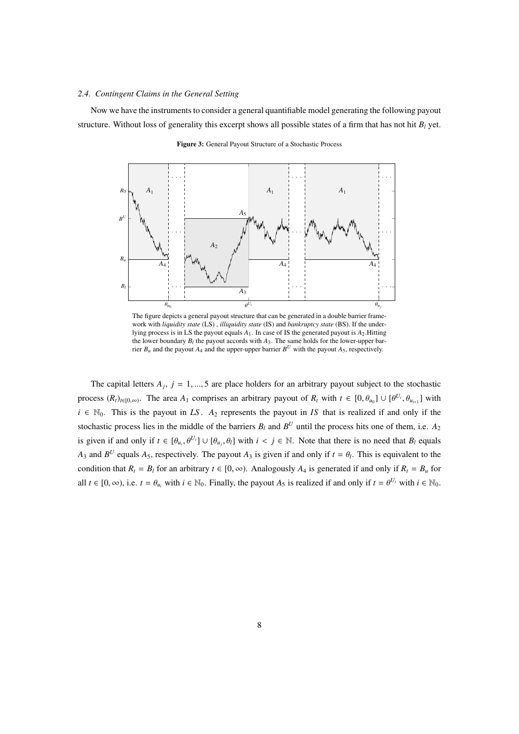#### *2.4. Contingent Claims in the General Setting*

Now we have the instruments to consider a general quantifiable model generating the following payout structure. Without loss of generality this excerpt shows all possible states of a firm that has not hit  $B_l$  yet.

 $\theta_{u_0}$   $\theta$  $\theta_{u_j}$ *Bl Bu*  $B^U$ *R*0 *A*4 *A*3 *A*5  $A_4$   $A_4$ *A*<sup>1</sup> *A*<sup>1</sup> *A*<sup>1</sup>  $A<sub>2</sub>$ 

Figure 3: General Payout Structure of a Stochastic Process

The figure depicts a general payout structure that can be generated in a double barrier framework with *liquidity state* (LS) , *illiquidity state* (IS) and *bankruptcy state* (BS). If the underlying process is in LS the payout equals *A*1. In case of IS the generated payout is *A*2.Hitting the lower boundary  $B_l$  the payout accords with  $A_3$ . The same holds for the lower-upper barrier  $B_u$  and the payout  $A_4$  and the upper-upper barrier  $B^U$  with the payout  $A_5$ , respectively.

The capital letters  $A_j$ ,  $j = 1, ..., 5$  are place holders for an arbitrary payout subject to the stochastic process  $(R_t)_{t\in[0,\infty)}$ . The area  $A_1$  comprises an arbitrary payout of  $R_t$  with  $t \in [0, \theta_{u_0}] \cup [\theta^{U_i}, \theta_{u_{i+1}}]$  with  $i \in \mathbb{N}_0$ . This is the payout in *LS*.  $A_2$  represents the payout in *IS* that is realized if and only if the stochastic process lies in the middle of the barriers  $B_l$  and  $B^U$  until the process hits one of them, i.e.  $A_2$ is given if and only if  $t \in [\theta_{u_i}, \theta^{U_i}] \cup [\theta_{u_j}, \theta_l]$  with  $i < j \in \mathbb{N}$ . Note that there is no need that  $B_l$  equals *A*<sub>3</sub> and  $B^U$  equals *A*<sub>5</sub>, respectively. The payout *A*<sub>3</sub> is given if and only if  $t = \theta_l$ . This is equivalent to the condition that  $R_t = B_t$  for an arbitrary  $t \in [0, \infty)$ . Analogously  $A_4$  is generated if and only if  $R_t = B_u$  for all  $t \in [0, \infty)$ , i.e.  $t = \theta_{u_i}$  with  $i \in \mathbb{N}_0$ . Finally, the payout  $A_5$  is realized if and only if  $t = \theta^{U_i}$  with  $i \in \mathbb{N}_0$ .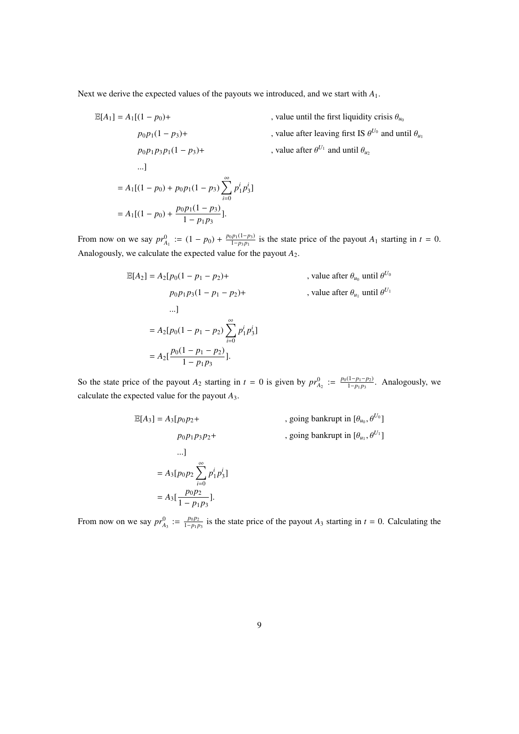Next we derive the expected values of the payouts we introduced, and we start with *A*1.

 $\frac{p_1(x-p_3)}{1-p_1p_3}$ ].

 $\mathbb{E}[A_1] = A_1[(1 - p_0) +$ , value until the first liquidity crisis  $\theta_{u_0}$  $p_0 p_1 (1 - p_3)$ + , value after leaving first IS  $\theta^{U_0}$  and until  $\theta_{u_1}$  $p_0 p_1 p_3 p_1 (1 - p_3) +$ *,* value after  $\theta^{U_1}$  and until  $\theta_u$ ...]  $= A_1[(1-p_0) + p_0p_1(1-p_3))\sum_{n=1}^{\infty}$ *i*=0  $p_1^i p_3^i$ ]  $= A_1[(1-p_0) + \frac{p_0p_1(1-p_3)}{1-p_0p_1}]$ 

From now on we say  $pr_{A_1}^0 := (1 - p_0) + \frac{p_0 p_1 (1 - p_3)}{1 - p_3 p_1}$  $\frac{p_1(1-p_3)}{1-p_3p_1}$  is the state price of the payout  $A_1$  starting in  $t = 0$ . Analogously, we calculate the expected value for the payout *A*2.

$$
\mathbb{E}[A_2] = A_2[p_0(1 - p_1 - p_2) + p_0p_1p_3(1 - p_1 - p_2) + p_1p_3(1 - p_1 - p_2) + \dots]
$$
\n, value after  $\theta_{u_0}$  until  $\theta^{U_0}$ 

\n...]

\n
$$
= A_2[p_0(1 - p_1 - p_2) \sum_{i=0}^{\infty} p_1^i p_3^i]
$$
\n
$$
= A_2[\frac{p_0(1 - p_1 - p_2)}{1 - p_1p_3}].
$$

So the state price of the payout *A*<sub>2</sub> starting in  $t = 0$  is given by  $pr_{A_2}^0 := \frac{p_0(1-p_1-p_2)}{1-p_1p_3}$  $\frac{(1-p_1-p_2)}{1-p_1p_3}$ . Analogously, we calculate the expected value for the payout *A*3.

$$
\mathbb{E}[A_3] = A_3[p_0p_2 + p_0p_1p_3p_2 + p_0p_1p_3p_2 + \dots]
$$
, going bankruptcy in  $[\theta_{u_0}, \theta^{U_0}]$   
...]  

$$
= A_3[p_0p_2 \sum_{i=0}^{\infty} p_1^i p_3^i]
$$
  

$$
= A_3[\frac{p_0p_2}{1 - p_1p_3}].
$$

From now on we say  $pr_{A_3}^0 := \frac{p_0 p_2}{1 - p_1 p_3}$  is the state price of the payout  $A_3$  starting in  $t = 0$ . Calculating the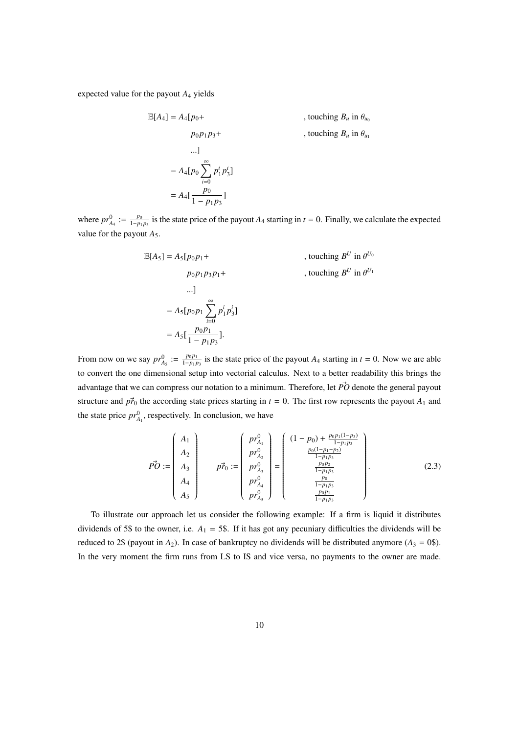expected value for the payout *A*<sup>4</sup> yields

$$
\mathbb{E}[A_4] = A_4[p_0 + p_0p_1p_3 + p_0p_1p_3 + \dots]
$$
, touching  $B_u$  in  $\theta_{u_0}$   
...]  

$$
= A_4[p_0 \sum_{i=0}^{\infty} p_1^i p_3^i]
$$

$$
= A_4[\frac{p_0}{1 - p_1p_3}]
$$

where  $pr_{A_4}^0 := \frac{p_0}{1-p_1p_3}$  is the state price of the payout  $A_4$  starting in  $t = 0$ . Finally, we calculate the expected value for the payout  $A_5$ .

$$
\mathbb{E}[A_5] = A_5[p_0p_1 + p_0p_1p_3p_1 + p_0p_1p_3p_1 + \dots]
$$
, touching  $B^U$  in  $\theta^{U_0}$   
....]  

$$
= A_5[p_0p_1 \sum_{i=0}^{\infty} p_1^ip_3^i]
$$

$$
= A_5[\frac{p_0p_1}{1 - p_1p_3}].
$$

From now on we say  $pr_{A_5}^0 := \frac{p_0 p_1}{1-p_1 p_3}$  is the state price of the payout  $A_4$  starting in  $t = 0$ . Now we are able to convert the one dimensional setup into vectorial calculus. Next to a better readability this brings the advantage that we can compress our notation to a minimum. Therefore, let  $\vec{PO}$  denote the general payout structure and  $p\vec{r}_0$  the according state prices starting in  $t = 0$ . The first row represents the payout  $A_1$  and the state price  $pr_{A_1}^0$ , respectively. In conclusion, we have

$$
\vec{PO} := \begin{pmatrix} A_1 \\ A_2 \\ A_3 \\ A_4 \\ A_5 \end{pmatrix} \qquad \vec{pr}_{0}^{2} := \begin{pmatrix} pr_{A_1}^{0} \\ pr_{A_2}^{0} \\ pr_{A_3}^{0} \\ pr_{A_4}^{0} \\ pr_{A_5}^{0} \end{pmatrix} = \begin{pmatrix} (1 - p_0) + \frac{p_0 p_1 (1 - p_3)}{1 - p_1 p_3} \\ \frac{p_0 (1 - p_1 - p_2)}{1 - p_1 p_3} \\ \frac{p_0 p_2}{1 - p_1 p_3} \\ \frac{p_0}{1 - p_1 p_3} \\ \frac{p_0 p_1}{1 - p_1 p_3} \end{pmatrix} . \tag{2.3}
$$

To illustrate our approach let us consider the following example: If a firm is liquid it distributes dividends of 5\$ to the owner, i.e.  $A_1 = 5$ \$. If it has got any pecuniary difficulties the dividends will be reduced to 2\$ (payout in  $A_2$ ). In case of bankruptcy no dividends will be distributed anymore ( $A_3 = 0$ \$). In the very moment the firm runs from LS to IS and vice versa, no payments to the owner are made.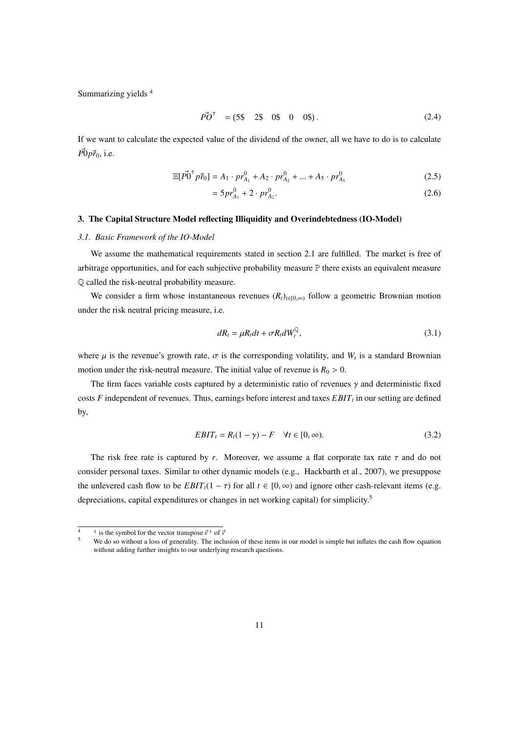Summarizing yields 4

$$
\vec{PO}^{\mathsf{T}} = (5\$\quad 2\$\quad 0\$\quad 0\quad 0\$\). \tag{2.4}
$$

If we want to calculate the expected value of the dividend of the owner, all we have to do is to calculate  $\vec{P0}p\vec{r}_0$ , i.e.

$$
\mathbb{E}[\vec{P0}^{\mathsf{T}} \vec{p_0}] = A_1 \cdot pr_{A_1}^0 + A_2 \cdot pr_{A_2}^0 + \dots + A_5 \cdot pr_{A_5}^0 \tag{2.5}
$$

$$
=5pr_{A_1}^0+2\cdot pr_{A_2}^0.\tag{2.6}
$$

#### 3. The Capital Structure Model reflecting Illiquidity and Overindebtedness (IO-Model)

#### *3.1. Basic Framework of the IO-Model*

We assume the mathematical requirements stated in section 2.1 are fulfilled. The market is free of arbitrage opportunities, and for each subjective probability measure P there exists an equivalent measure Q called the risk-neutral probability measure.

We consider a firm whose instantaneous revenues  $(R_t)_{t \in [0,\infty)}$  follow a geometric Brownian motion under the risk neutral pricing measure, i.e.

$$
dR_t = \mu R_t dt + \sigma R_t dW_t^{\mathbb{Q}}, \qquad (3.1)
$$

where  $\mu$  is the revenue's growth rate,  $\sigma$  is the corresponding volatility, and  $W_t$  is a standard Brownian motion under the risk-neutral measure. The initial value of revenue is  $R_0 > 0$ .

The firm faces variable costs captured by a deterministic ratio of revenues  $\gamma$  and deterministic fixed costs *F* independent of revenues. Thus, earnings before interest and taxes *EBIT<sup>t</sup>* in our setting are defined by,

$$
EBIT_t = R_t(1 - \gamma) - F \quad \forall t \in [0, \infty).
$$
\n(3.2)

The risk free rate is captured by *r*. Moreover, we assume a flat corporate tax rate  $\tau$  and do not consider personal taxes. Similar to other dynamic models (e.g., Hackbarth et al., 2007), we presuppose the unlevered cash flow to be  $EBIT<sub>t</sub>(1 - \tau)$  for all  $t \in [0, \infty)$  and ignore other cash-relevant items (e.g. depreciations, capital expenditures or changes in net working capital) for simplicity.<sup>5</sup>

<sup>&</sup>lt;sup>4</sup>  $\bar{v}$  is the symbol for the vector transpose  $\vec{v}$ <sup>†</sup> of  $\vec{v}$ 

<sup>&</sup>lt;sup>5</sup> We do so without a loss of generality. The inclusion of these items in our model is simple but inflates the cash flow equation without adding further insights to our underlying research questions.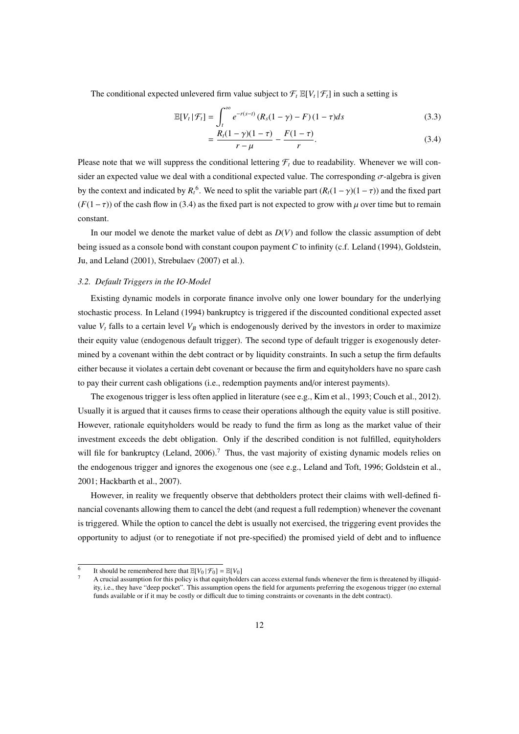The conditional expected unlevered firm value subject to  $\mathcal{F}_t \mathbb{E}[V_t | \mathcal{F}_t]$  in such a setting is

$$
\mathbb{E}[V_t | \mathcal{F}_t] = \int_t^{\infty} e^{-r(s-t)} (R_s(1-\gamma) - F)(1-\tau) ds
$$
\n(3.3)

$$
= \frac{R_t(1-\gamma)(1-\tau)}{r-\mu} - \frac{F(1-\tau)}{r}.
$$
\n(3.4)

Please note that we will suppress the conditional lettering  $\mathcal{F}_t$  due to readability. Whenever we will consider an expected value we deal with a conditional expected value. The corresponding  $\sigma$ -algebra is given by the context and indicated by  $R_t^6$ . We need to split the variable part  $(R_t(1-\gamma)(1-\tau))$  and the fixed part  $(F(1-\tau))$  of the cash flow in (3.4) as the fixed part is not expected to grow with  $\mu$  over time but to remain constant.

In our model we denote the market value of debt as *D*(*V*) and follow the classic assumption of debt being issued as a console bond with constant coupon payment *C* to infinity (c.f. Leland (1994), Goldstein, Ju, and Leland (2001), Strebulaev (2007) et al.).

#### *3.2. Default Triggers in the IO-Model*

Existing dynamic models in corporate finance involve only one lower boundary for the underlying stochastic process. In Leland (1994) bankruptcy is triggered if the discounted conditional expected asset value  $V_t$  falls to a certain level  $V_B$  which is endogenously derived by the investors in order to maximize their equity value (endogenous default trigger). The second type of default trigger is exogenously determined by a covenant within the debt contract or by liquidity constraints. In such a setup the firm defaults either because it violates a certain debt covenant or because the firm and equityholders have no spare cash to pay their current cash obligations (i.e., redemption payments and/or interest payments).

The exogenous trigger is less often applied in literature (see e.g., Kim et al., 1993; Couch et al., 2012). Usually it is argued that it causes firms to cease their operations although the equity value is still positive. However, rationale equityholders would be ready to fund the firm as long as the market value of their investment exceeds the debt obligation. Only if the described condition is not fulfilled, equityholders will file for bankruptcy (Leland, 2006).<sup>7</sup> Thus, the vast majority of existing dynamic models relies on the endogenous trigger and ignores the exogenous one (see e.g., Leland and Toft, 1996; Goldstein et al., 2001; Hackbarth et al., 2007).

However, in reality we frequently observe that debtholders protect their claims with well-defined financial covenants allowing them to cancel the debt (and request a full redemption) whenever the covenant is triggered. While the option to cancel the debt is usually not exercised, the triggering event provides the opportunity to adjust (or to renegotiate if not pre-specified) the promised yield of debt and to influence

<sup>6</sup> It should be remembered here that  $\mathbb{E}[V_0 | \mathcal{F}_0] = \mathbb{E}[V_0]$ 

<sup>7</sup> A crucial assumption for this policy is that equityholders can access external funds whenever the firm is threatened by illiquidity, i.e., they have "deep pocket". This assumption opens the field for arguments preferring the exogenous trigger (no external funds available or if it may be costly or difficult due to timing constraints or covenants in the debt contract).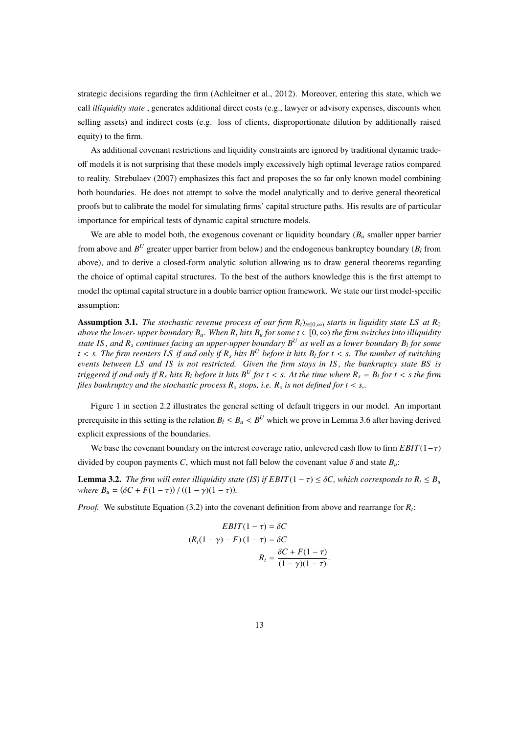strategic decisions regarding the firm (Achleitner et al., 2012). Moreover, entering this state, which we call *illiquidity state* , generates additional direct costs (e.g., lawyer or advisory expenses, discounts when selling assets) and indirect costs (e.g. loss of clients, disproportionate dilution by additionally raised equity) to the firm.

As additional covenant restrictions and liquidity constraints are ignored by traditional dynamic tradeoff models it is not surprising that these models imply excessively high optimal leverage ratios compared to reality. Strebulaev (2007) emphasizes this fact and proposes the so far only known model combining both boundaries. He does not attempt to solve the model analytically and to derive general theoretical proofs but to calibrate the model for simulating firms' capital structure paths. His results are of particular importance for empirical tests of dynamic capital structure models.

We are able to model both, the exogenous covenant or liquidity boundary (*B<sub>u</sub>* smaller upper barrier from above and  $B^U$  greater upper barrier from below) and the endogenous bankruptcy boundary ( $B_l$  from above), and to derive a closed-form analytic solution allowing us to draw general theorems regarding the choice of optimal capital structures. To the best of the authors knowledge this is the first attempt to model the optimal capital structure in a double barrier option framework. We state our first model-specific assumption:

Assumption 3.1. *The stochastic revenue process of our firm R*<sub>*t*</sub>) $_{t\in[0,\infty)}$  *starts in liquidity state LS at R*<sub>0</sub> *above the lower- upper boundary*  $B_\mu$ *. When R<sub><i>t*</sub> hits  $B_\mu$  for some  $t \in [0, \infty)$  the firm switches into illiquidity *state IS , and R<sup>s</sup> continues facing an upper-upper boundary B<sup>U</sup> as well as a lower boundary B<sup>l</sup> for some t* < *s. The firm reenters LS if and only if R<sup>s</sup> hits B<sup>U</sup> before it hits B<sup>l</sup> for t* < *s. The number of switching events between LS and IS is not restricted. Given the firm stays in IS , the bankruptcy state BS is triggered if and only if R<sup>s</sup> hits B<sup>l</sup> before it hits B<sup>U</sup> for t* < *s. At the time where R<sup>s</sup>* = *B<sup>l</sup> for t* < *s the firm files bankruptcy and the stochastic process R<sup>s</sup> stops, i.e. R<sup>s</sup> is not defined for t* < *s,.*

Figure 1 in section 2.2 illustrates the general setting of default triggers in our model. An important prerequisite in this setting is the relation  $B_l \leq B_u < B^U$  which we prove in Lemma 3.6 after having derived explicit expressions of the boundaries.

We base the covenant boundary on the interest coverage ratio, unlevered cash flow to firm *EBIT*(1−τ) divided by coupon payments *C*, which must not fall below the covenant value  $\delta$  and state  $B_u$ :

**Lemma 3.2.** *The firm will enter illiquidity state (IS) if*  $EBIT(1 - \tau) \leq \delta C$ *, which corresponds to*  $R_t \leq B_u$ *where*  $B_u = (\delta C + F(1 - \tau)) / ((1 - \gamma)(1 - \tau))$ *.* 

*Proof.* We substitute Equation (3.2) into the covenant definition from above and rearrange for *R<sup>t</sup>* :

$$
EBIT(1 - \tau) = \delta C
$$

$$
(R_t(1 - \gamma) - F)(1 - \tau) = \delta C
$$

$$
R_t = \frac{\delta C + F(1 - \tau)}{(1 - \gamma)(1 - \tau)}.
$$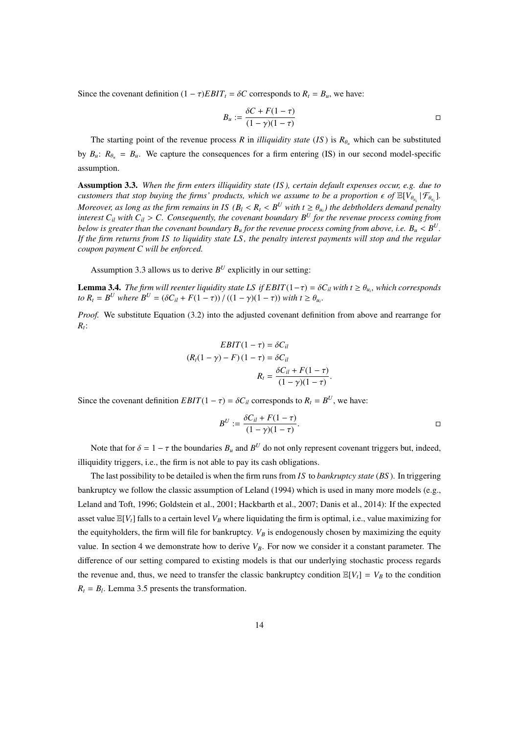Since the covenant definition  $(1 - \tau)EBIT_t = \delta C$  corresponds to  $R_t = B_u$ , we have:

$$
B_u := \frac{\delta C + F(1 - \tau)}{(1 - \gamma)(1 - \tau)}
$$

The starting point of the revenue process *R* in *illiquidity state* (*IS*) is  $R_{\theta_u}$  which can be substituted by  $B_u$ :  $R_{\theta_u} = B_u$ . We capture the consequences for a firm entering (IS) in our second model-specific assumption.

Assumption 3.3. *When the firm enters illiquidity state (IS ), certain default expenses occur, e.g. due to customers that stop buying the firms' products, which we assume to be a proportion*  $\epsilon$  of  $\mathbb{E}[V_{\theta_{u_i}}|\mathcal{F}_{\theta_{u_i}}]$ . *Moreover, as long as the firm remains in IS* ( $B_l < R_t < B^U$  with  $t \geq \theta_{u_i}$ ) the debtholders demand penalty *interest*  $C_{il}$  *with*  $C_{il} > C$ *. Consequently, the covenant boundary*  $B^U$  *for the revenue process coming from below is greater than the covenant boundary*  $B_u$  *<i>for the revenue process coming from above, i.e.*  $B_u < B^U$ . *If the firm returns from IS to liquidity state LS , the penalty interest payments will stop and the regular coupon payment C will be enforced.*

Assumption 3.3 allows us to derive  $B^U$  explicitly in our setting:

**Lemma 3.4.** *The firm will reenter liquidity state LS if EBIT*(1- $\tau$ ) =  $\delta C_i$ *l with t*  $\geq \theta_{u_i}$ *, which corresponds to*  $R_t = B^U$  *where*  $B^U = (\delta C_{il} + F(1 - \tau)) / ((1 - \gamma)(1 - \tau))$  *with*  $t \ge \theta_{u_i}$ .

*Proof.* We substitute Equation (3.2) into the adjusted covenant definition from above and rearrange for *Rt* :

$$
EBIT(1 - \tau) = \delta C_{il}
$$

$$
(R_t(1 - \gamma) - F)(1 - \tau) = \delta C_{il}
$$

$$
R_t = \frac{\delta C_{il} + F(1 - \tau)}{(1 - \gamma)(1 - \tau)}.
$$

Since the covenant definition  $EBIT(1 - \tau) = \delta C_{il}$  corresponds to  $R_t = B^U$ , we have:

$$
B^U := \frac{\delta C_{il} + F(1-\tau)}{(1-\gamma)(1-\tau)}.
$$

Note that for  $\delta = 1 - \tau$  the boundaries  $B_u$  and  $B^U$  do not only represent covenant triggers but, indeed, illiquidity triggers, i.e., the firm is not able to pay its cash obligations.

The last possibility to be detailed is when the firm runs from *IS* to *bankruptcy state* (*BS* ). In triggering bankruptcy we follow the classic assumption of Leland (1994) which is used in many more models (e.g., Leland and Toft, 1996; Goldstein et al., 2001; Hackbarth et al., 2007; Danis et al., 2014): If the expected asset value  $\mathbb{E}[V_t]$  falls to a certain level  $V_B$  where liquidating the firm is optimal, i.e., value maximizing for the equityholders, the firm will file for bankruptcy.  $V_B$  is endogenously chosen by maximizing the equity value. In section 4 we demonstrate how to derive  $V_B$ . For now we consider it a constant parameter. The difference of our setting compared to existing models is that our underlying stochastic process regards the revenue and, thus, we need to transfer the classic bankruptcy condition  $\mathbb{E}[V_t] = V_B$  to the condition  $R_t = B_l$ . Lemma 3.5 presents the transformation.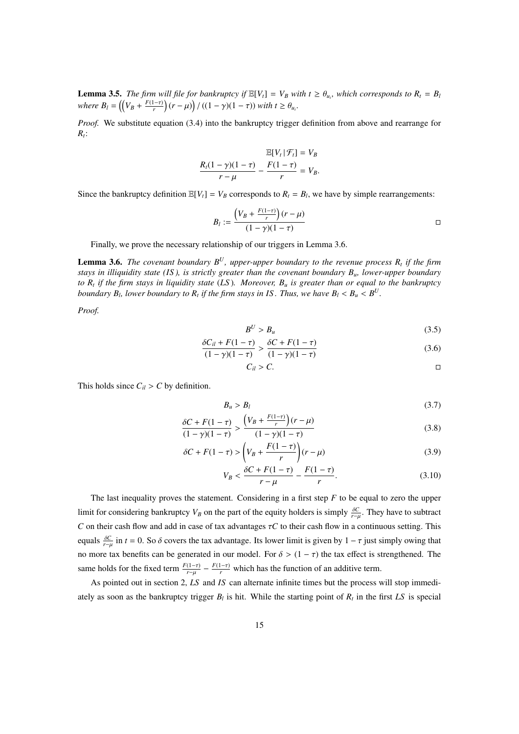**Lemma 3.5.** *The firm will file for bankruptcy if*  $\mathbb{E}[V_t] = V_B$  *with*  $t \ge \theta_{u_i}$ *, which corresponds to*  $R_t = B_t$ *where*  $B_l = \left(\left(V_B + \frac{F(1-\tau)}{r}\right)\right)$  $\frac{(-\tau)}{r}$   $(r - \mu)$   $/ ((1 - \gamma)(1 - \tau))$  *with t*  $\geq \theta_{u_i}$ *.* 

*Proof.* We substitute equation (3.4) into the bankruptcy trigger definition from above and rearrange for *Rt* :

$$
\frac{\mathbb{E}[V_t | \mathcal{F}_t] = V_B}{r - \mu} - \frac{F(1 - \tau)}{r} = V_B.
$$

Since the bankruptcy definition  $\mathbb{E}[V_t] = V_B$  corresponds to  $R_t = B_l$ , we have by simple rearrangements:

$$
B_l := \frac{\left(V_B + \frac{F(1-\tau)}{r}\right)(r-\mu)}{(1-\gamma)(1-\tau)}
$$

Finally, we prove the necessary relationship of our triggers in Lemma 3.6.

Lemma 3.6. *The covenant boundary B<sup>U</sup>, upper-upper boundary to the revenue process R<sup>t</sup> if the firm stays in illiquidity state (IS ), is strictly greater than the covenant boundary Bu, lower-upper boundary to R<sup>t</sup> if the firm stays in liquidity state* (*LS* )*. Moreover, B<sup>u</sup> is greater than or equal to the bankruptcy boundary*  $B_l$ , lower boundary to  $R_t$  if the firm stays in IS. Thus, we have  $B_l < B_u < B^U$ .

*Proof.*

$$
B^U > B_u \tag{3.5}
$$

$$
\frac{\delta C_{il} + F(1 - \tau)}{(1 - \gamma)(1 - \tau)} > \frac{\delta C + F(1 - \tau)}{(1 - \gamma)(1 - \tau)}
$$
(3.6)

$$
C_{il} > C.
$$

This holds since  $C_{il} > C$  by definition.

$$
B_u > B_l \tag{3.7}
$$

$$
\frac{\delta C + F(1-\tau)}{(1-\gamma)(1-\tau)} > \frac{\left(V_B + \frac{F(1-\tau)}{r}\right)(r-\mu)}{(1-\gamma)(1-\tau)}\tag{3.8}
$$

$$
\delta C + F(1 - \tau) > \left(V_B + \frac{F(1 - \tau)}{r}\right)(r - \mu) \tag{3.9}
$$

$$
V_B < \frac{\delta C + F(1 - \tau)}{r - \mu} - \frac{F(1 - \tau)}{r}.\tag{3.10}
$$

The last inequality proves the statement. Considering in a first step *F* to be equal to zero the upper limit for considering bankruptcy  $V_B$  on the part of the equity holders is simply  $\frac{\delta C}{r-\mu}$ . They have to subtract *C* on their cash flow and add in case of tax advantages  $\tau C$  to their cash flow in a continuous setting. This equals  $\frac{\delta C}{r-\mu}$  in *t* = 0. So  $\delta$  covers the tax advantage. Its lower limit is given by 1 –  $\tau$  just simply owing that no more tax benefits can be generated in our model. For  $\delta > (1 - \tau)$  the tax effect is strengthened. The same holds for the fixed term  $\frac{F(1-\tau)}{r-\mu} - \frac{F(1-\tau)}{r}$  which has the function of an additive term.

As pointed out in section 2, *LS* and *IS* can alternate infinite times but the process will stop immediately as soon as the bankruptcy trigger  $B_l$  is hit. While the starting point of  $R_t$  in the first LS is special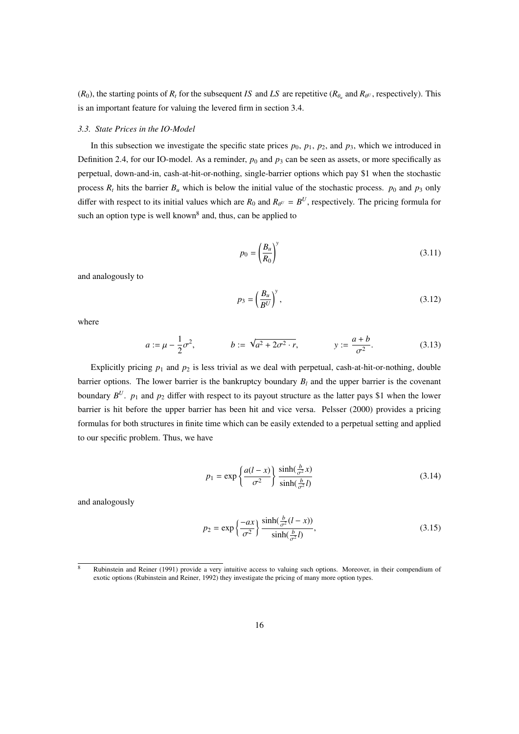$(R_0)$ , the starting points of  $R_t$  for the subsequent *IS* and *LS* are repetitive  $(R_{\theta_u}$  and  $R_{\theta_u}$ , respectively). This is an important feature for valuing the levered firm in section 3.4.

#### *3.3. State Prices in the IO-Model*

In this subsection we investigate the specific state prices  $p_0$ ,  $p_1$ ,  $p_2$ , and  $p_3$ , which we introduced in Definition 2.4, for our IO-model. As a reminder,  $p_0$  and  $p_3$  can be seen as assets, or more specifically as perpetual, down-and-in, cash-at-hit-or-nothing, single-barrier options which pay \$1 when the stochastic process  $R_t$  hits the barrier  $B_u$  which is below the initial value of the stochastic process.  $p_0$  and  $p_3$  only differ with respect to its initial values which are  $R_0$  and  $R_{\theta^U} = B^U$ , respectively. The pricing formula for such an option type is well known<sup>8</sup> and, thus, can be applied to

$$
p_0 = \left(\frac{B_u}{R_0}\right)^y\tag{3.11}
$$

and analogously to

$$
p_3 = \left(\frac{B_u}{B^U}\right)^y,\tag{3.12}
$$

where

$$
a := \mu - \frac{1}{2}\sigma^2
$$
,  $b := \sqrt{a^2 + 2\sigma^2 \cdot r}$ ,  $y := \frac{a+b}{\sigma^2}$ . (3.13)

Explicitly pricing  $p_1$  and  $p_2$  is less trivial as we deal with perpetual, cash-at-hit-or-nothing, double barrier options. The lower barrier is the bankruptcy boundary  $B_l$  and the upper barrier is the covenant boundary  $B^U$ .  $p_1$  and  $p_2$  differ with respect to its payout structure as the latter pays \$1 when the lower barrier is hit before the upper barrier has been hit and vice versa. Pelsser (2000) provides a pricing formulas for both structures in finite time which can be easily extended to a perpetual setting and applied to our specific problem. Thus, we have

$$
p_1 = \exp\left\{\frac{a(l-x)}{\sigma^2}\right\} \frac{\sinh(\frac{b}{\sigma^2}x)}{\sinh(\frac{b}{\sigma^2}l)}\tag{3.14}
$$

and analogously

$$
p_2 = \exp\left\{\frac{-ax}{\sigma^2}\right\} \frac{\sinh(\frac{b}{\sigma^2}(l-x))}{\sinh(\frac{b}{\sigma^2}l)},\tag{3.15}
$$

 $\overline{8}$  Rubinstein and Reiner (1991) provide a very intuitive access to valuing such options. Moreover, in their compendium of exotic options (Rubinstein and Reiner, 1992) they investigate the pricing of many more option types.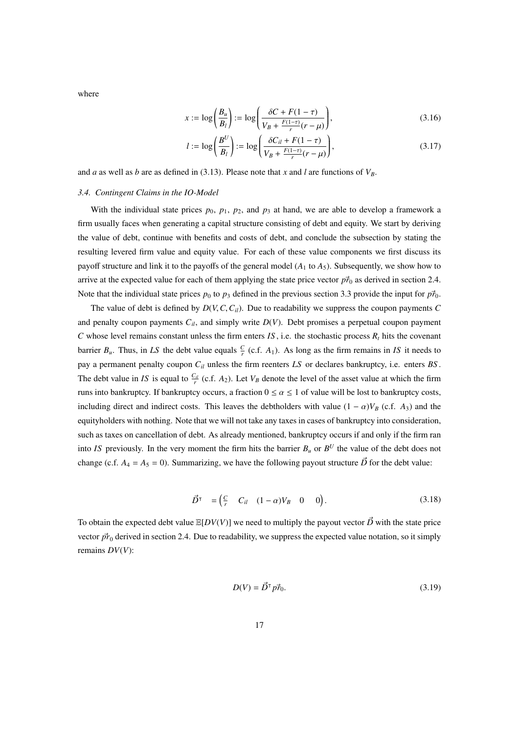where

$$
x := \log\left(\frac{B_u}{B_l}\right) := \log\left(\frac{\delta C + F(1-\tau)}{V_B + \frac{F(1-\tau)}{r}(r-\mu)}\right),\tag{3.16}
$$

$$
l := \log\left(\frac{B^U}{B_l}\right) := \log\left(\frac{\delta C_{il} + F(1-\tau)}{V_B + \frac{F(1-\tau)}{r}(r-\mu)}\right),\tag{3.17}
$$

and *a* as well as *b* are as defined in (3.13). Please note that *x* and *l* are functions of *VB*.

#### *3.4. Contingent Claims in the IO-Model*

With the individual state prices  $p_0$ ,  $p_1$ ,  $p_2$ , and  $p_3$  at hand, we are able to develop a framework a firm usually faces when generating a capital structure consisting of debt and equity. We start by deriving the value of debt, continue with benefits and costs of debt, and conclude the subsection by stating the resulting levered firm value and equity value. For each of these value components we first discuss its payoff structure and link it to the payoffs of the general model (*A*<sup>1</sup> to *A*5). Subsequently, we show how to arrive at the expected value for each of them applying the state price vector  $p_{0}^{2}$  as derived in section 2.4. Note that the individual state prices  $p_0$  to  $p_3$  defined in the previous section 3.3 provide the input for  $p\vec{r}_0$ .

The value of debt is defined by  $D(V, C, C_{il})$ . Due to readability we suppress the coupon payments *C* and penalty coupon payments  $C_{il}$ , and simply write  $D(V)$ . Debt promises a perpetual coupon payment *C* whose level remains constant unless the firm enters *IS*, i.e. the stochastic process  $R_t$  hits the covenant barrier  $B_u$ . Thus, in LS the debt value equals  $\frac{C}{r}$  (c.f.  $A_1$ ). As long as the firm remains in IS it needs to pay a permanent penalty coupon *Cil* unless the firm reenters *LS* or declares bankruptcy, i.e. enters *BS* . The debt value in *IS* is equal to  $\frac{C_{il}}{r}$  (c.f. *A*<sub>2</sub>). Let *V<sub>B</sub>* denote the level of the asset value at which the firm runs into bankruptcy. If bankruptcy occurs, a fraction  $0 \le \alpha \le 1$  of value will be lost to bankruptcy costs, including direct and indirect costs. This leaves the debtholders with value  $(1 - \alpha)V_B$  (c.f.  $A_3$ ) and the equityholders with nothing. Note that we will not take any taxes in cases of bankruptcy into consideration, such as taxes on cancellation of debt. As already mentioned, bankruptcy occurs if and only if the firm ran into *IS* previously. In the very moment the firm hits the barrier  $B_u$  or  $B^U$  the value of the debt does not change (c.f.  $A_4 = A_5 = 0$ ). Summarizing, we have the following payout structure  $\vec{D}$  for the debt value:

$$
\vec{D}^{\dagger} = \begin{pmatrix} \frac{C}{r} & C_{il} & (1 - \alpha)V_B & 0 & 0 \end{pmatrix}.
$$
 (3.18)

To obtain the expected debt value  $\mathbb{E}[DV(V)]$  we need to multiply the payout vector  $\vec{D}$  with the state price vector  $\vec{pr}_0$  derived in section 2.4. Due to readability, we suppress the expected value notation, so it simply remains *DV*(*V*):

$$
D(V) = \vec{D}^{\mathsf{T}} p \vec{r}_0. \tag{3.19}
$$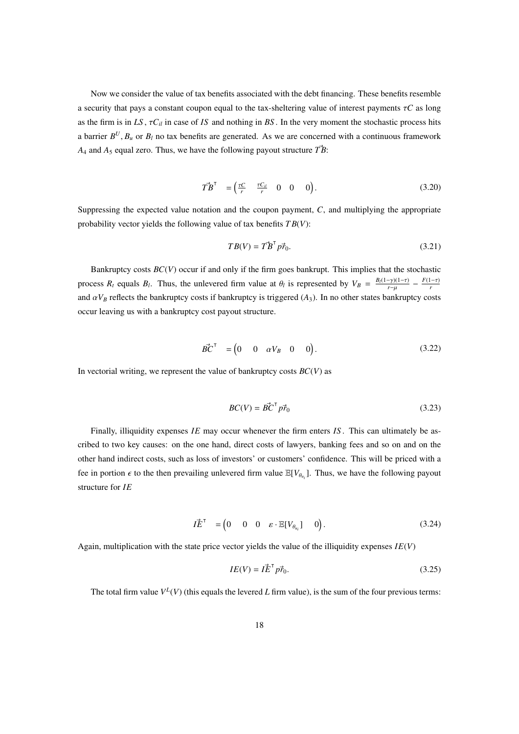Now we consider the value of tax benefits associated with the debt financing. These benefits resemble a security that pays a constant coupon equal to the tax-sheltering value of interest payments τ*C* as long as the firm is in  $LS$ ,  $\tau C_{il}$  in case of *IS* and nothing in BS. In the very moment the stochastic process hits a barrier  $B^U$ ,  $B_u$  or  $B_l$  no tax benefits are generated. As we are concerned with a continuous framework  $A_4$  and  $A_5$  equal zero. Thus, we have the following payout structure  $\vec{T}B$ :

$$
\vec{T}\vec{B}^{\mathsf{T}} = \begin{pmatrix} \frac{\tau C}{r} & \frac{\tau C_{il}}{r} & 0 & 0 & 0 \end{pmatrix}.
$$
 (3.20)

Suppressing the expected value notation and the coupon payment, *C*, and multiplying the appropriate probability vector yields the following value of tax benefits *T B*(*V*):

$$
TB(V) = \vec{T} \vec{B}^{\mathsf{T}} p \vec{r}_0. \tag{3.21}
$$

Bankruptcy costs *BC*(*V*) occur if and only if the firm goes bankrupt. This implies that the stochastic process  $R_t$  equals  $B_t$ . Thus, the unlevered firm value at  $\theta_t$  is represented by  $V_B = \frac{B_t(1-\gamma)(1-\tau)}{r-\mu} - \frac{F(1-\tau)}{r}$ *r* and  $\alpha V_B$  reflects the bankruptcy costs if bankruptcy is triggered  $(A_3)$ . In no other states bankruptcy costs occur leaving us with a bankruptcy cost payout structure.

$$
\vec{BC}^{\mathsf{T}} = \begin{pmatrix} 0 & 0 & \alpha V_B & 0 & 0 \end{pmatrix}.
$$
 (3.22)

In vectorial writing, we represent the value of bankruptcy costs  $BC(V)$  as

$$
BC(V) = \vec{BC}^\top \vec{p} \vec{r}_0 \tag{3.23}
$$

Finally, illiquidity expenses *IE* may occur whenever the firm enters *IS* . This can ultimately be ascribed to two key causes: on the one hand, direct costs of lawyers, banking fees and so on and on the other hand indirect costs, such as loss of investors' or customers' confidence. This will be priced with a fee in portion  $\epsilon$  to the then prevailing unlevered firm value  $\mathbb{E}[V_{\theta_{u_i}}]$ . Thus, we have the following payout structure for *IE*

$$
I\vec{E}^{\mathsf{T}} = \begin{pmatrix} 0 & 0 & 0 & \varepsilon \cdot \mathbb{E}[V_{\theta_{u_i}}] & 0 \end{pmatrix}.
$$
 (3.24)

Again, multiplication with the state price vector yields the value of the illiquidity expenses *IE*(*V*)

$$
IE(V) = I\vec{E}^T p\vec{r}_0. \tag{3.25}
$$

The total firm value  $V^L(V)$  (this equals the levered *L* firm value), is the sum of the four previous terms: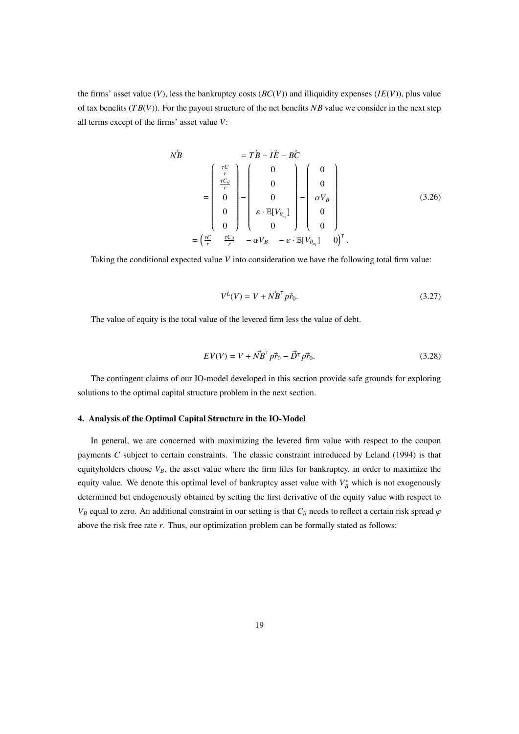the firms' asset value  $(V)$ , less the bankruptcy costs  $(BC(V))$  and illiquidity expenses  $(IE(V))$ , plus value of tax benefits (*T B*(*V*)). For the payout structure of the net benefits *NB* value we consider in the next step all terms except of the firms' asset value *V*:

$$
\vec{N}\vec{B} = \vec{T}\vec{B} - I\vec{E} - \vec{B}\vec{C}
$$
\n
$$
= \begin{pmatrix} \frac{\tau C}{r} \\ \frac{\tau C_{il}}{r} \\ 0 \\ 0 \\ 0 \end{pmatrix} - \begin{pmatrix} 0 \\ 0 \\ 0 \\ \varepsilon \cdot \mathbb{E}[V_{\theta_{u_i}}] \\ 0 \\ 0 \end{pmatrix} - \begin{pmatrix} 0 \\ 0 \\ \alpha V_B \\ 0 \\ 0 \end{pmatrix}
$$
\n
$$
= \left(\frac{\tau C}{r} - \frac{\tau C_{il}}{r} - \alpha V_B - \varepsilon \cdot \mathbb{E}[V_{\theta_{u_i}}] - 0\right)^{\mathsf{T}}.
$$
\n(3.26)

Taking the conditional expected value *V* into consideration we have the following total firm value:

$$
V^{L}(V) = V + N\vec{B}^{\text{T}} p\vec{r}_{0}. \qquad (3.27)
$$

The value of equity is the total value of the levered firm less the value of debt.

$$
EV(V) = V + \vec{NB}^{\mathsf{T}} p \vec{r}_0 - \vec{D}^{\mathsf{T}} p \vec{r}_0.
$$
 (3.28)

The contingent claims of our IO-model developed in this section provide safe grounds for exploring solutions to the optimal capital structure problem in the next section.

#### 4. Analysis of the Optimal Capital Structure in the IO-Model

In general, we are concerned with maximizing the levered firm value with respect to the coupon payments *C* subject to certain constraints. The classic constraint introduced by Leland (1994) is that equityholders choose  $V_B$ , the asset value where the firm files for bankruptcy, in order to maximize the equity value. We denote this optimal level of bankruptcy asset value with  $V_B^*$  which is not exogenously determined but endogenously obtained by setting the first derivative of the equity value with respect to  $V_B$  equal to zero. An additional constraint in our setting is that  $C_i$  needs to reflect a certain risk spread  $\varphi$ above the risk free rate *r*. Thus, our optimization problem can be formally stated as follows: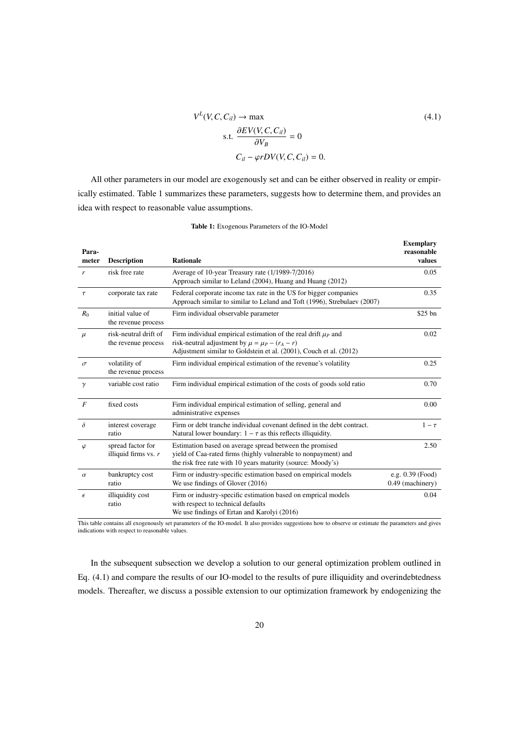$$
V^{L}(V, C, C_{il}) \rightarrow \max
$$
  
s.t. 
$$
\frac{\partial EV(V, C, C_{il})}{\partial V_B} = 0
$$

$$
C_{il} - \varphi r DV(V, C, C_{il}) = 0.
$$
 (4.1)

All other parameters in our model are exogenously set and can be either observed in reality or empirically estimated. Table 1 summarizes these parameters, suggests how to determine them, and provides an idea with respect to reasonable value assumptions.

| Para-<br>meter   | <b>Description</b>                           | <b>Rationale</b>                                                                                                                                                                                 | <b>Exemplary</b><br>reasonable<br>values |
|------------------|----------------------------------------------|--------------------------------------------------------------------------------------------------------------------------------------------------------------------------------------------------|------------------------------------------|
| r                | risk free rate                               | Average of 10-year Treasury rate (1/1989-7/2016)<br>Approach similar to Leland (2004), Huang and Huang (2012)                                                                                    | 0.05                                     |
| $\tau$           | corporate tax rate                           | Federal corporate income tax rate in the US for bigger companies<br>Approach similar to similar to Leland and Toft (1996), Strebulaev (2007)                                                     | 0.35                                     |
| $R_0$            | initial value of<br>the revenue process      | Firm individual observable parameter                                                                                                                                                             | $$25$ bn                                 |
| $\mu$            | risk-neutral drift of<br>the revenue process | Firm individual empirical estimation of the real drift $\mu_P$ and<br>risk-neutral adjustment by $\mu = \mu_P - (r_A - r)$<br>Adjustment similar to Goldstein et al. (2001), Couch et al. (2012) | 0.02                                     |
| $\sigma$         | volatility of<br>the revenue process         | Firm individual empirical estimation of the revenue's volatility                                                                                                                                 | 0.25                                     |
| $\gamma$         | variable cost ratio                          | Firm individual empirical estimation of the costs of goods sold ratio                                                                                                                            | 0.70                                     |
| $\boldsymbol{F}$ | fixed costs                                  | Firm individual empirical estimation of selling, general and<br>administrative expenses                                                                                                          | 0.00                                     |
| $\delta$         | interest coverage<br>ratio                   | Firm or debt tranche individual covenant defined in the debt contract.<br>Natural lower boundary: $1 - \tau$ as this reflects illiquidity.                                                       | $1-\tau$                                 |
| $\varphi$        | spread factor for<br>illiquid firms vs. $r$  | Estimation based on average spread between the promised<br>yield of Caa-rated firms (highly vulnerable to nonpayment) and<br>the risk free rate with 10 years maturity (source: Moody's)         | 2.50                                     |
| $\alpha$         | bankruptcy cost<br>ratio                     | Firm or industry-specific estimation based on empirical models<br>We use findings of Glover (2016)                                                                                               | e.g. 0.39 (Food)<br>0.49 (machinery)     |
| $\epsilon$       | illiquidity cost<br>ratio                    | Firm or industry-specific estimation based on emprical models<br>with respect to technical defaults<br>We use findings of Ertan and Karolyi (2016)                                               | 0.04                                     |

Table 1: Exogenous Parameters of the IO-Model

This table contains all exogenously set parameters of the IO-model. It also provides suggestions how to observe or estimate the parameters and gives indications with respect to reasonable values.

In the subsequent subsection we develop a solution to our general optimization problem outlined in Eq. (4.1) and compare the results of our IO-model to the results of pure illiquidity and overindebtedness models. Thereafter, we discuss a possible extension to our optimization framework by endogenizing the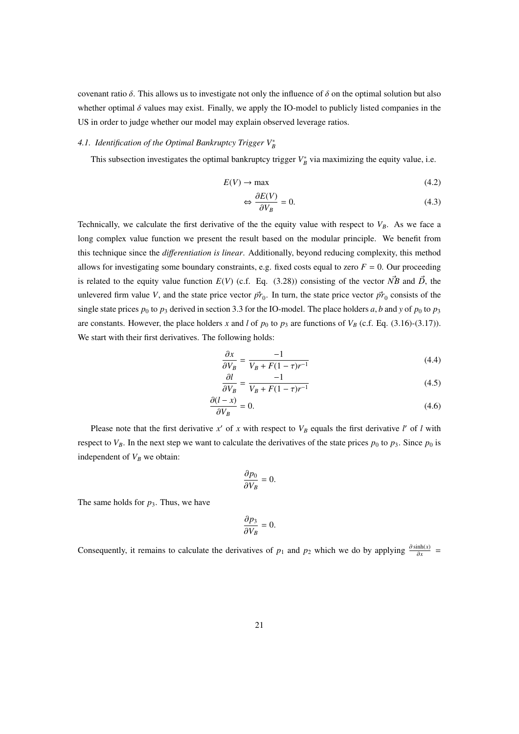covenant ratio  $\delta$ . This allows us to investigate not only the influence of  $\delta$  on the optimal solution but also whether optimal  $\delta$  values may exist. Finally, we apply the IO-model to publicly listed companies in the US in order to judge whether our model may explain observed leverage ratios.

## *4.1. Identification of the Optimal Bankruptcy Trigger V*<sup>∗</sup> *B*

This subsection investigates the optimal bankruptcy trigger  $V_B^*$  via maximizing the equity value, i.e.

$$
E(V) \to \max \tag{4.2}
$$

$$
\Leftrightarrow \frac{\partial E(V)}{\partial V_B} = 0. \tag{4.3}
$$

Technically, we calculate the first derivative of the the equity value with respect to  $V_B$ . As we face a long complex value function we present the result based on the modular principle. We benefit from this technique since the *di*ff*erentiation is linear*. Additionally, beyond reducing complexity, this method allows for investigating some boundary constraints, e.g. fixed costs equal to zero  $F = 0$ . Our proceeding is related to the equity value function  $E(V)$  (c.f. Eq. (3.28)) consisting of the vector  $N\bar{B}$  and  $\vec{D}$ , the unlevered firm value *V*, and the state price vector  $\vec{pr}_0$ . In turn, the state price vector  $\vec{pr}_0$  consists of the single state prices  $p_0$  to  $p_3$  derived in section 3.3 for the IO-model. The place holders a, b and y of  $p_0$  to  $p_3$ are constants. However, the place holders x and l of  $p_0$  to  $p_3$  are functions of  $V_B$  (c.f. Eq. (3.16)-(3.17)). We start with their first derivatives. The following holds:

$$
\frac{\partial x}{\partial V_B} = \frac{-1}{V_B + F(1 - \tau)r^{-1}}\tag{4.4}
$$

$$
\frac{\partial l}{\partial V_B} = \frac{-1}{V_B + F(1 - \tau)r^{-1}}\tag{4.5}
$$

$$
\frac{\partial (l - x)}{\partial V_B} = 0.
$$
\n(4.6)

Please note that the first derivative  $x'$  of  $x$  with respect to  $V_B$  equals the first derivative  $l'$  of  $l$  with respect to  $V_B$ . In the next step we want to calculate the derivatives of the state prices  $p_0$  to  $p_3$ . Since  $p_0$  is independent of  $V_B$  we obtain:

$$
\frac{\partial p_0}{\partial V_B} = 0.
$$

The same holds for  $p_3$ . Thus, we have

$$
\frac{\partial p_3}{\partial V_B}=0.
$$

Consequently, it remains to calculate the derivatives of *p*<sub>1</sub> and *p*<sub>2</sub> which we do by applying  $\frac{\partial \sinh(x)}{\partial x}$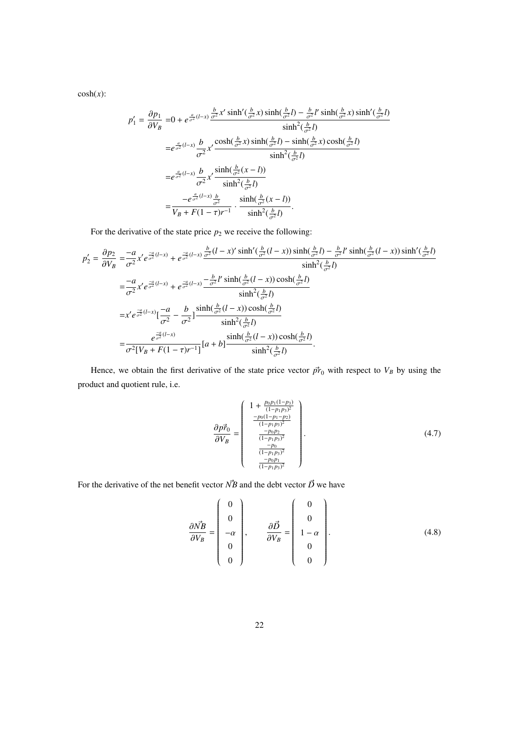$cosh(x)$ :

$$
p'_{1} = \frac{\partial p_{1}}{\partial V_{B}} = 0 + e^{\frac{a}{\sigma^{2}}(l-x)} \frac{\frac{b}{\sigma^{2}} x' \sinh'(\frac{b}{\sigma^{2}} x) \sinh(\frac{b}{\sigma^{2}} l) - \frac{b}{\sigma^{2}} l' \sinh(\frac{b}{\sigma^{2}} x) \sinh'(\frac{b}{\sigma^{2}} l)}{\sinh^{2}(\frac{b}{\sigma^{2}} l)}
$$
  
\n
$$
= e^{\frac{a}{\sigma^{2}}(l-x)} \frac{b}{\sigma^{2}} x' \frac{\cosh(\frac{b}{\sigma^{2}} x) \sinh(\frac{b}{\sigma^{2}} l) - \sinh(\frac{b}{\sigma^{2}} x) \cosh(\frac{b}{\sigma^{2}} l)}{\sinh^{2}(\frac{b}{\sigma^{2}} l)}
$$
  
\n
$$
= e^{\frac{a}{\sigma^{2}}(l-x)} \frac{b}{\sigma^{2}} x' \frac{\sinh(\frac{b}{\sigma^{2}} (x - l))}{\sinh^{2}(\frac{b}{\sigma^{2}} l)}
$$
  
\n
$$
= \frac{-e^{\frac{a}{\sigma^{2}}(l-x)} \frac{b}{\sigma^{2}}}{V_{B} + F(1 - \tau)r^{-1}} \cdot \frac{\sinh(\frac{b}{\sigma^{2}} (x - l))}{\sinh^{2}(\frac{b}{\sigma^{2}} l)}.
$$

For the derivative of the state price  $p_2$  we receive the following:

$$
p'_{2} = \frac{\partial p_{2}}{\partial V_{B}} = \frac{-a}{\sigma^{2}} x' e^{\frac{-a}{\sigma^{2}}(l-x)} + e^{\frac{-a}{\sigma^{2}}(l-x)} \frac{\frac{b}{\sigma^{2}}(l-x') \sinh'(\frac{b}{\sigma^{2}}(l-x)) \sinh(\frac{b}{\sigma^{2}}l) - \frac{b}{\sigma^{2}}l' \sinh(\frac{b}{\sigma^{2}}(l-x)) \sinh'(\frac{b}{\sigma^{2}}l)}{\sinh^{2}(\frac{b}{\sigma^{2}}l)}
$$
  
\n
$$
= \frac{-a}{\sigma^{2}} x' e^{\frac{-a}{\sigma^{2}}(l-x)} + e^{\frac{-a}{\sigma^{2}}(l-x)} \frac{-\frac{b}{\sigma^{2}}l' \sinh(\frac{b}{\sigma^{2}}(l-x)) \cosh(\frac{b}{\sigma^{2}}l)}{\sinh^{2}(\frac{b}{\sigma^{2}}l)}
$$
  
\n
$$
= x' e^{\frac{-a}{\sigma^{2}}(l-x)} [\frac{-a}{\sigma^{2}} - \frac{b}{\sigma^{2}}] \frac{\sinh(\frac{b}{\sigma^{2}}(l-x)) \cosh(\frac{b}{\sigma^{2}}l)}{\sinh^{2}(\frac{b}{\sigma^{2}}l)}
$$
  
\n
$$
= \frac{e^{\frac{-a}{\sigma^{2}}(l-x)}}{\sigma^{2}[V_{B} + F(1-\tau)r^{-1}]} [a+b] \frac{\sinh(\frac{b}{\sigma^{2}}(l-x)) \cosh(\frac{b}{\sigma^{2}}l)}{\sinh^{2}(\frac{b}{\sigma^{2}}l)}.
$$

Hence, we obtain the first derivative of the state price vector  $\vec{pr}_0$  with respect to  $V_B$  by using the product and quotient rule, i.e.

$$
\frac{\partial p\vec{r}_0}{\partial V_B} = \begin{pmatrix} 1 + \frac{p_0 p_1 (1-p_3)}{(1-p_1 p_3)^2} \\ \frac{-p_0 (1-p_1-p_2)}{(1-p_1 p_3)^2} \\ \frac{-p_0 p_2}{(1-p_1 p_3)^2} \\ \frac{-p_0}{(1-p_1 p_3)^2} \\ \frac{-p_0 p_1}{(1-p_1 p_3)^2} \end{pmatrix} . \tag{4.7}
$$

For the derivative of the net benefit vector  $\vec{NB}$  and the debt vector  $\vec{D}$  we have

$$
\frac{\partial \vec{NB}}{\partial V_B} = \begin{pmatrix} 0 \\ 0 \\ -\alpha \\ 0 \\ 0 \end{pmatrix}, \qquad \frac{\partial \vec{D}}{\partial V_B} = \begin{pmatrix} 0 \\ 0 \\ 1 - \alpha \\ 0 \\ 0 \end{pmatrix}.
$$
\n(4.8)

 $\mathbb{R}^2$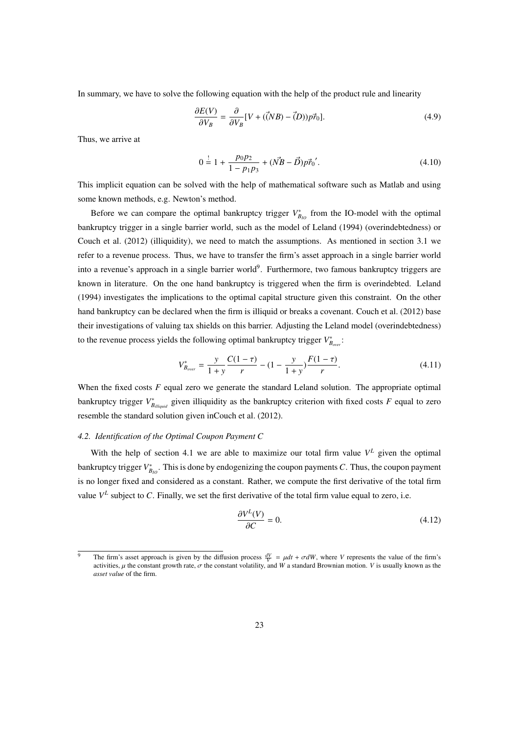In summary, we have to solve the following equation with the help of the product rule and linearity

$$
\frac{\partial E(V)}{\partial V_B} = \frac{\partial}{\partial V_B} [V + (\vec{(N}B) - \vec{(D)})p\vec{r}_0].\tag{4.9}
$$

Thus, we arrive at

$$
0 = 1 + \frac{p_0 p_2}{1 - p_1 p_3} + (\vec{NB} - \vec{D}) p \vec{r}_0'.
$$
 (4.10)

This implicit equation can be solved with the help of mathematical software such as Matlab and using some known methods, e.g. Newton's method.

Before we can compare the optimal bankruptcy trigger  $V_{B_{10}}^{*}$  from the IO-model with the optimal bankruptcy trigger in a single barrier world, such as the model of Leland (1994) (overindebtedness) or Couch et al. (2012) (illiquidity), we need to match the assumptions. As mentioned in section 3.1 we refer to a revenue process. Thus, we have to transfer the firm's asset approach in a single barrier world into a revenue's approach in a single barrier world<sup>9</sup>. Furthermore, two famous bankruptcy triggers are known in literature. On the one hand bankruptcy is triggered when the firm is overindebted. Leland (1994) investigates the implications to the optimal capital structure given this constraint. On the other hand bankruptcy can be declared when the firm is illiquid or breaks a covenant. Couch et al. (2012) base their investigations of valuing tax shields on this barrier. Adjusting the Leland model (overindebtedness) to the revenue process yields the following optimal bankruptcy trigger  $V_{B_{over}}^*$ .

$$
V_{B_{over}}^{*} = \frac{y}{1+y} \frac{C(1-\tau)}{r} - (1-\frac{y}{1+y}) \frac{F(1-\tau)}{r}.
$$
 (4.11)

When the fixed costs *F* equal zero we generate the standard Leland solution. The appropriate optimal bankruptcy trigger  $V_{B_{illiquid}}^*$  given illiquidity as the bankruptcy criterion with fixed costs *F* equal to zero resemble the standard solution given inCouch et al. (2012).

#### *4.2. Identification of the Optimal Coupon Payment C*

With the help of section 4.1 we are able to maximize our total firm value  $V^L$  given the optimal bankruptcy trigger  $V_{B_{l_O}}^*$ . This is done by endogenizing the coupon payments *C*. Thus, the coupon payment is no longer fixed and considered as a constant. Rather, we compute the first derivative of the total firm value  $V^L$  subject to C. Finally, we set the first derivative of the total firm value equal to zero, i.e.

$$
\frac{\partial V^L(V)}{\partial C} = 0.\tag{4.12}
$$

<sup>&</sup>lt;sup>9</sup> The firm's asset approach is given by the diffusion process  $\frac{dV}{V} = \mu dt + \sigma dW$ , where *V* represents the value of the firm's activities,  $\mu$  the constant growth rate,  $\sigma$  the constant volatility, and *W* a standard Brownian motion. *V* is usually known as the *asset value* of the firm.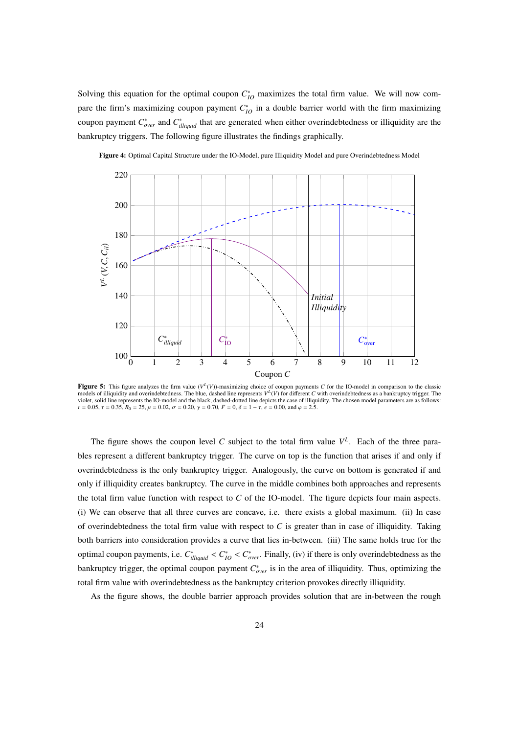Solving this equation for the optimal coupon  $C_{10}^*$  maximizes the total firm value. We will now compare the firm's maximizing coupon payment  $C_{IO}^*$  in a double barrier world with the firm maximizing coupon payment  $C^*_{over}$  and  $C^*_{illiquid}$  that are generated when either overindebtedness or illiquidity are the bankruptcy triggers. The following figure illustrates the findings graphically.

Figure 4: Optimal Capital Structure under the IO-Model, pure Illiquidity Model and pure Overindebtedness Model



**Figure 5:** This figure analyzes the firm value  $(V^L(V))$ -maximizing choice of coupon payments C for the IO-model in comparison to the classic models of illiquidity and overindebtedness. The blue, dashed line represents  $V^L(V)$  for different *C* with overindebtedness as a bankruptcy trigger. The violet, solid line represents the IO-model and the black, dashed-dotted line depicts the case of illiquidity. The chosen model parameters are as follows:  $r = 0.05$ ,  $\tau = 0.35$ ,  $R_0 = 25$ ,  $\mu = 0.02$ ,  $\sigma = 0.20$ ,  $\gamma = 0.70$ ,  $F = 0$ ,  $\delta = 1 - \tau$ ,  $\epsilon = 0.00$ , and  $\varphi = 2.5$ .

The figure shows the coupon level C subject to the total firm value  $V^L$ . Each of the three parables represent a different bankruptcy trigger. The curve on top is the function that arises if and only if overindebtedness is the only bankruptcy trigger. Analogously, the curve on bottom is generated if and only if illiquidity creates bankruptcy. The curve in the middle combines both approaches and represents the total firm value function with respect to *C* of the IO-model. The figure depicts four main aspects. (i) We can observe that all three curves are concave, i.e. there exists a global maximum. (ii) In case of overindebtedness the total firm value with respect to *C* is greater than in case of illiquidity. Taking both barriers into consideration provides a curve that lies in-between. (iii) The same holds true for the optimal coupon payments, i.e.  $C_{illiquid}^* < C_{IO}^* < C_{over}^*$ . Finally, (iv) if there is only overindebtedness as the bankruptcy trigger, the optimal coupon payment  $C_{over}^*$  is in the area of illiquidity. Thus, optimizing the total firm value with overindebtedness as the bankruptcy criterion provokes directly illiquidity.

As the figure shows, the double barrier approach provides solution that are in-between the rough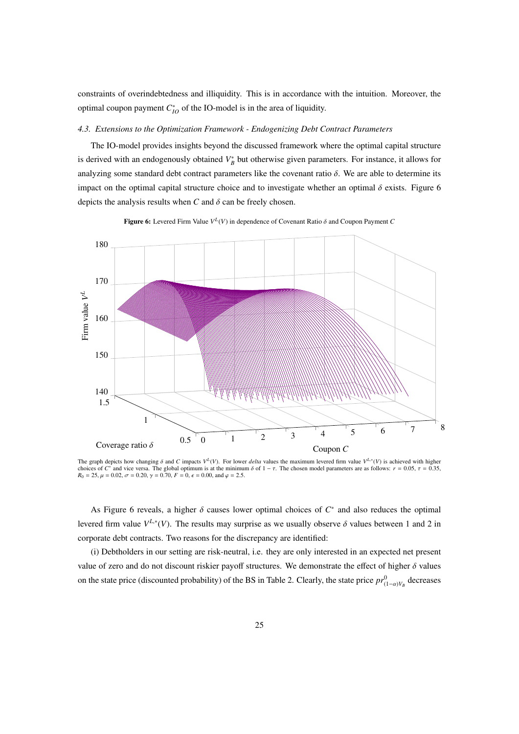constraints of overindebtedness and illiquidity. This is in accordance with the intuition. Moreover, the optimal coupon payment  $C_{IO}^*$  of the IO-model is in the area of liquidity.

#### *4.3. Extensions to the Optimization Framework - Endogenizing Debt Contract Parameters*

The IO-model provides insights beyond the discussed framework where the optimal capital structure is derived with an endogenously obtained  $V_B^*$  but otherwise given parameters. For instance, it allows for analyzing some standard debt contract parameters like the covenant ratio  $\delta$ . We are able to determine its impact on the optimal capital structure choice and to investigate whether an optimal  $\delta$  exists. Figure 6 depicts the analysis results when  $C$  and  $\delta$  can be freely chosen.



**Figure 6:** Levered Firm Value  $V^L(V)$  in dependence of Covenant Ratio  $\delta$  and Coupon Payment *C* 

The graph depicts how changing  $\delta$  and C impacts  $V^L(V)$ . For lower *delta* values the maximum levered firm value  $V^{L,*}(V)$  is achieved with higher choices of  $C^*$  and vice versa. The global optimum is at the minimum  $\delta$  of  $1 - \tau$ . The chosen model parameters are as follows:  $r = 0.05$ ,  $\tau = 0.35$ ,  $R_0 = 25, \mu = 0.02, \sigma = 0.20, \gamma = 0.70, F = 0, \epsilon = 0.00, \text{ and } \varphi = 2.5.$ 

As Figure 6 reveals, a higher  $\delta$  causes lower optimal choices of  $C^*$  and also reduces the optimal levered firm value  $V^{L,*}(V)$ . The results may surprise as we usually observe  $\delta$  values between 1 and 2 in corporate debt contracts. Two reasons for the discrepancy are identified:

(i) Debtholders in our setting are risk-neutral, i.e. they are only interested in an expected net present value of zero and do not discount riskier payoff structures. We demonstrate the effect of higher  $\delta$  values on the state price (discounted probability) of the BS in Table 2. Clearly, the state price  $pr_{(1-\alpha)V_B}^0$  decreases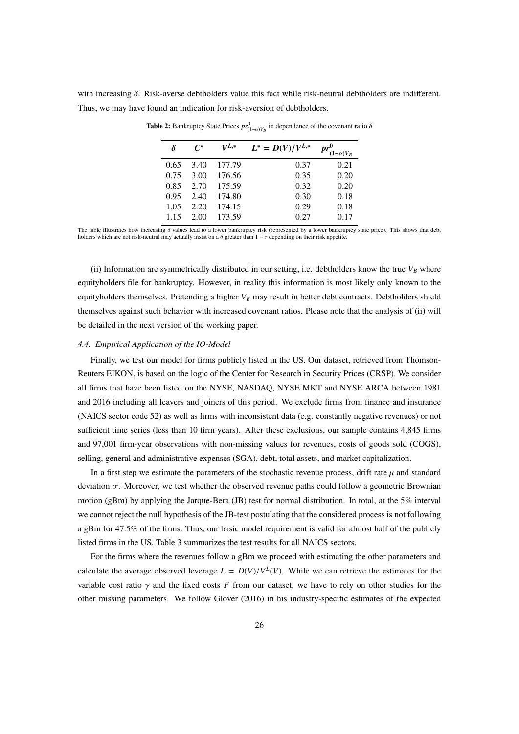with increasing  $\delta$ . Risk-averse debtholders value this fact while risk-neutral debtholders are indifferent. Thus, we may have found an indication for risk-aversion of debtholders.

| δ    | $\mathsf{\Gamma}^*$ | $V^{L,*}$ | $L^* = D(V)/V^{L,*}$ | $pr^0$<br>$(1-\alpha)V_B$ |
|------|---------------------|-----------|----------------------|---------------------------|
| 0.65 | 3.40                | 177.79    | 0.37                 | 0.21                      |
| 0.75 | 3.00                | 176.56    | 0.35                 | 0.20                      |
| 0.85 | 2.70                | 175.59    | 0.32                 | 0.20                      |
| 0.95 | 2.40                | 174.80    | 0.30                 | 0.18                      |
| 1.05 | 2.20                | 174.15    | 0.29                 | 0.18                      |
| 1.15 | 2.00                | 173.59    | 0.27                 | 0.17                      |

**Table 2:** Bankruptcy State Prices  $pr_{(1-\alpha)V_B}^0$  in dependence of the covenant ratio  $\delta$ 

The table illustrates how increasing  $\delta$  values lead to a lower bankruptcy risk (represented by a lower bankruptcy state price). This shows that debt holders which are not risk-neutral may actually insist on a  $\delta$  greater than  $1 - \tau$  depending on their risk appetite.

(ii) Information are symmetrically distributed in our setting, i.e. debtholders know the true  $V_B$  where equityholders file for bankruptcy. However, in reality this information is most likely only known to the equityholders themselves. Pretending a higher *V<sup>B</sup>* may result in better debt contracts. Debtholders shield themselves against such behavior with increased covenant ratios. Please note that the analysis of (ii) will be detailed in the next version of the working paper.

#### *4.4. Empirical Application of the IO-Model*

Finally, we test our model for firms publicly listed in the US. Our dataset, retrieved from Thomson-Reuters EIKON, is based on the logic of the Center for Research in Security Prices (CRSP). We consider all firms that have been listed on the NYSE, NASDAQ, NYSE MKT and NYSE ARCA between 1981 and 2016 including all leavers and joiners of this period. We exclude firms from finance and insurance (NAICS sector code 52) as well as firms with inconsistent data (e.g. constantly negative revenues) or not sufficient time series (less than 10 firm years). After these exclusions, our sample contains 4,845 firms and 97,001 firm-year observations with non-missing values for revenues, costs of goods sold (COGS), selling, general and administrative expenses (SGA), debt, total assets, and market capitalization.

In a first step we estimate the parameters of the stochastic revenue process, drift rate  $\mu$  and standard deviation  $\sigma$ . Moreover, we test whether the observed revenue paths could follow a geometric Brownian motion (gBm) by applying the Jarque-Bera (JB) test for normal distribution. In total, at the 5% interval we cannot reject the null hypothesis of the JB-test postulating that the considered process is not following a gBm for 47.5% of the firms. Thus, our basic model requirement is valid for almost half of the publicly listed firms in the US. Table 3 summarizes the test results for all NAICS sectors.

For the firms where the revenues follow a gBm we proceed with estimating the other parameters and calculate the average observed leverage  $L = D(V)/V^L(V)$ . While we can retrieve the estimates for the variable cost ratio  $\gamma$  and the fixed costs  $F$  from our dataset, we have to rely on other studies for the other missing parameters. We follow Glover (2016) in his industry-specific estimates of the expected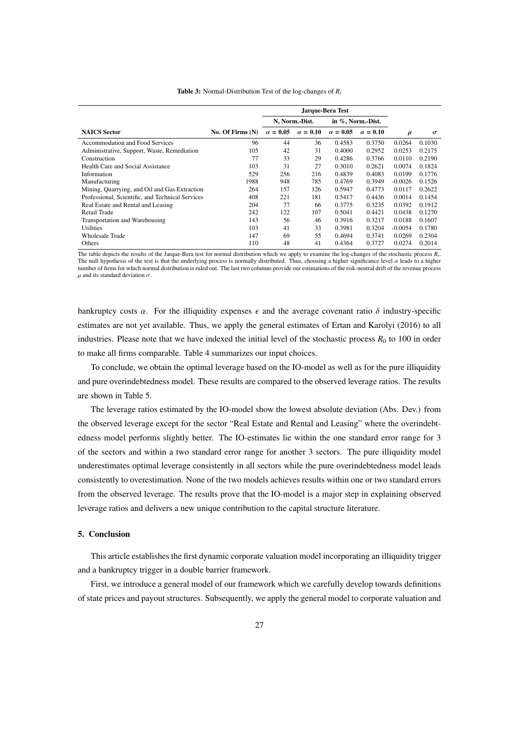|                                                  |                    |                 | N, Norm.-Dist.  | in %, Norm.-Dist. |                 |           |          |
|--------------------------------------------------|--------------------|-----------------|-----------------|-------------------|-----------------|-----------|----------|
| <b>NAICS</b> Sector                              | No. Of Firms $(N)$ | $\alpha = 0.05$ | $\alpha = 0.10$ | $\alpha = 0.05$   | $\alpha = 0.10$ | $\mu$     | $\sigma$ |
| Accommodation and Food Services                  | 96                 | 44              | 36              | 0.4583            | 0.3750          | 0.0264    | 0.1030   |
| Administrative, Support, Waste, Remediation      | 105                | 42              | 31              | 0.4000            | 0.2952          | 0.0253    | 0.2175   |
| Construction                                     | 77                 | 33              | 29              | 0.4286            | 0.3766          | 0.0110    | 0.2190   |
| Health Care and Social Assistance                | 103                | 31              | 27              | 0.3010            | 0.2621          | 0.0074    | 0.1824   |
| Information                                      | 529                | 256             | 216             | 0.4839            | 0.4083          | 0.0199    | 0.1776   |
| Manufacturing                                    | 1988               | 948             | 785             | 0.4769            | 0.3949          | $-0.0026$ | 0.1526   |
| Mining, Quarrying, and Oil and Gas Extraction    | 264                | 157             | 126             | 0.5947            | 0.4773          | 0.0117    | 0.2622   |
| Professional, Scientific, and Technical Services | 408                | 221             | 181             | 0.5417            | 0.4436          | 0.0014    | 0.1454   |
| Real Estate and Rental and Leasing               | 204                | 77              | 66              | 0.3775            | 0.3235          | 0.0392    | 0.1912   |
| Retail Trade                                     | 242                | 122             | 107             | 0.5041            | 0.4421          | 0.0438    | 0.1270   |
| Transportation and Warehousing                   | 143                | 56              | 46              | 0.3916            | 0.3217          | 0.0188    | 0.1607   |
| <b>Utilities</b>                                 | 103                | 41              | 33              | 0.3981            | 0.3204          | $-0.0054$ | 0.1780   |
| Wholesale Trade                                  | 147                | 69              | 55              | 0.4694            | 0.3741          | 0.0269    | 0.2304   |
| Others                                           | 110                | 48              | 41              | 0.4364            | 0.3727          | 0.0274    | 0.2014   |

Table 3: Normal-Distribution Test of the log-changes of *R<sup>t</sup>*

The table depicts the results of the Jarque-Bera test for normal distribution which we apply to examine the log-changes of the stochastic process  $R_t$ . The null hypothesis of the test is that the underlying process is normally distributed. Thus, choosing a higher significance level  $\alpha$  leads to a higher number of firms for which normal distribution is ruled out. The last two columns provide our estimations of the risk-neutral drift of the revenue process  $\mu$  and its standard deviation  $\sigma$ .

bankruptcy costs  $\alpha$ . For the illiquidity expenses  $\epsilon$  and the average covenant ratio  $\delta$  industry-specific estimates are not yet available. Thus, we apply the general estimates of Ertan and Karolyi (2016) to all industries. Please note that we have indexed the initial level of the stochastic process  $R_0$  to 100 in order to make all firms comparable. Table 4 summarizes our input choices.

To conclude, we obtain the optimal leverage based on the IO-model as well as for the pure illiquidity and pure overindebtedness model. These results are compared to the observed leverage ratios. The results are shown in Table 5.

The leverage ratios estimated by the IO-model show the lowest absolute deviation (Abs. Dev.) from the observed leverage except for the sector "Real Estate and Rental and Leasing" where the overindebtedness model performs slightly better. The IO-estimates lie within the one standard error range for 3 of the sectors and within a two standard error range for another 3 sectors. The pure illiquidity model underestimates optimal leverage consistently in all sectors while the pure overindebtedness model leads consistently to overestimation. None of the two models achieves results within one or two standard errors from the observed leverage. The results prove that the IO-model is a major step in explaining observed leverage ratios and delivers a new unique contribution to the capital structure literature.

#### 5. Conclusion

This article establishes the first dynamic corporate valuation model incorporating an illiquidity trigger and a bankruptcy trigger in a double barrier framework.

First, we introduce a general model of our framework which we carefully develop towards definitions of state prices and payout structures. Subsequently, we apply the general model to corporate valuation and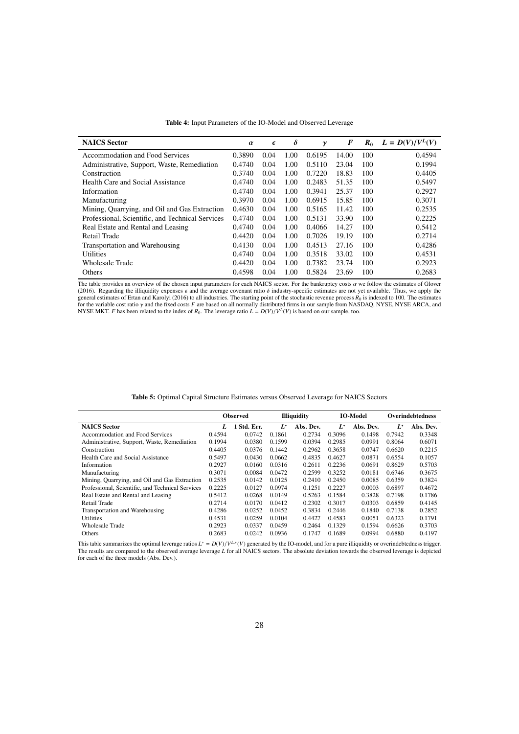| <b>NAICS</b> Sector                              |        | $\epsilon$ | $\delta$ | $\gamma$ | $\bm{F}$ | $R_0$ | $L = D(V)/V^L(V)$ |
|--------------------------------------------------|--------|------------|----------|----------|----------|-------|-------------------|
| Accommodation and Food Services<br>0.3890        |        | 0.04       | 1.00     | 0.6195   | 14.00    | 100   | 0.4594            |
| Administrative, Support, Waste, Remediation      | 0.4740 | 0.04       | 1.00     | 0.5110   | 23.04    | 100   | 0.1994            |
| Construction                                     | 0.3740 | 0.04       | 1.00     | 0.7220   | 18.83    | 100   | 0.4405            |
| Health Care and Social Assistance                | 0.4740 | 0.04       | 1.00     | 0.2483   | 51.35    | 100   | 0.5497            |
| Information                                      | 0.4740 | 0.04       | 1.00     | 0.3941   | 25.37    | 100   | 0.2927            |
| Manufacturing                                    | 0.3970 | 0.04       | 1.00     | 0.6915   | 15.85    | 100   | 0.3071            |
| Mining, Quarrying, and Oil and Gas Extraction    | 0.4630 | 0.04       | 1.00     | 0.5165   | 11.42    | 100   | 0.2535            |
| Professional, Scientific, and Technical Services | 0.4740 | 0.04       | 1.00     | 0.5131   | 33.90    | 100   | 0.2225            |
| Real Estate and Rental and Leasing               | 0.4740 | 0.04       | 1.00     | 0.4066   | 14.27    | 100   | 0.5412            |
| Retail Trade                                     | 0.4420 | 0.04       | 1.00     | 0.7026   | 19.19    | 100   | 0.2714            |
| Transportation and Warehousing                   | 0.4130 | 0.04       | 1.00     | 0.4513   | 27.16    | 100   | 0.4286            |
| <b>Utilities</b>                                 | 0.4740 | 0.04       | 1.00     | 0.3518   | 33.02    | 100   | 0.4531            |
| <b>Wholesale Trade</b>                           | 0.4420 | 0.04       | 1.00     | 0.7382   | 23.74    | 100   | 0.2923            |
| Others                                           | 0.4598 | 0.04       | 1.00     | 0.5824   | 23.69    | 100   | 0.2683            |

Table 4: Input Parameters of the IO-Model and Observed Leverage

The table provides an overview of the chosen input parameters for each NAICS sector. For the bankruptcy costs  $\alpha$  we follow the estimates of Glover (2016). Regarding the illiquidity expenses  $\epsilon$  and the average covenant ratio  $\delta$  industry-specific estimates are not yet available. Thus, we apply the general estimates of Ertan and Karolyi (2016) to all industries. The starting point of the stochastic revenue process  $R_0$  is indexed to 100. The estimates<br>for the variable cost ratio  $\gamma$  and the fixed costs F are based

|                                                  | <b>Observed</b> |             |        | <b>Illiquidity</b> |        | <b>IO-Model</b> |        | <b>Overindebtedness</b> |
|--------------------------------------------------|-----------------|-------------|--------|--------------------|--------|-----------------|--------|-------------------------|
| <b>NAICS Sector</b>                              |                 | 1 Std. Err. | $L^*$  | Abs. Dev.          | $L^*$  | Abs. Dev.       | $L^*$  | Abs. Dev.               |
| Accommodation and Food Services                  | 0.4594          | 0.0742      | 0.1861 | 0.2734             | 0.3096 | 0.1498          | 0.7942 | 0.3348                  |
| Administrative, Support, Waste, Remediation      | 0.1994          | 0.0380      | 0.1599 | 0.0394             | 0.2985 | 0.0991          | 0.8064 | 0.6071                  |
| Construction                                     | 0.4405          | 0.0376      | 0.1442 | 0.2962             | 0.3658 | 0.0747          | 0.6620 | 0.2215                  |
| Health Care and Social Assistance                | 0.5497          | 0.0430      | 0.0662 | 0.4835             | 0.4627 | 0.0871          | 0.6554 | 0.1057                  |
| Information                                      | 0.2927          | 0.0160      | 0.0316 | 0.2611             | 0.2236 | 0.0691          | 0.8629 | 0.5703                  |
| Manufacturing                                    | 0.3071          | 0.0084      | 0.0472 | 0.2599             | 0.3252 | 0.0181          | 0.6746 | 0.3675                  |
| Mining, Quarrying, and Oil and Gas Extraction    | 0.2535          | 0.0142      | 0.0125 | 0.2410             | 0.2450 | 0.0085          | 0.6359 | 0.3824                  |
| Professional, Scientific, and Technical Services | 0.2225          | 0.0127      | 0.0974 | 0.1251             | 0.2227 | 0.0003          | 0.6897 | 0.4672                  |
| Real Estate and Rental and Leasing               | 0.5412          | 0.0268      | 0.0149 | 0.5263             | 0.1584 | 0.3828          | 0.7198 | 0.1786                  |
| Retail Trade                                     | 0.2714          | 0.0170      | 0.0412 | 0.2302             | 0.3017 | 0.0303          | 0.6859 | 0.4145                  |
| Transportation and Warehousing                   | 0.4286          | 0.0252      | 0.0452 | 0.3834             | 0.2446 | 0.1840          | 0.7138 | 0.2852                  |
| Utilities                                        | 0.4531          | 0.0259      | 0.0104 | 0.4427             | 0.4583 | 0.0051          | 0.6323 | 0.1791                  |
| Wholesale Trade                                  | 0.2923          | 0.0337      | 0.0459 | 0.2464             | 0.1329 | 0.1594          | 0.6626 | 0.3703                  |
| Others                                           | 0.2683          | 0.0242      | 0.0936 | 0.1747             | 0.1689 | 0.0994          | 0.6880 | 0.4197                  |

Table 5: Optimal Capital Structure Estimates versus Observed Leverage for NAICS Sectors

This table summarizes the optimal leverage ratios  $L^* = D(V)/V^{L,*}(V)$  generated by the IO-model, and for a pure illiquidity or overindebtedness trigger.<br>The results are compared to the observed average leverage L for all NAI for each of the three models (Abs. Dev.).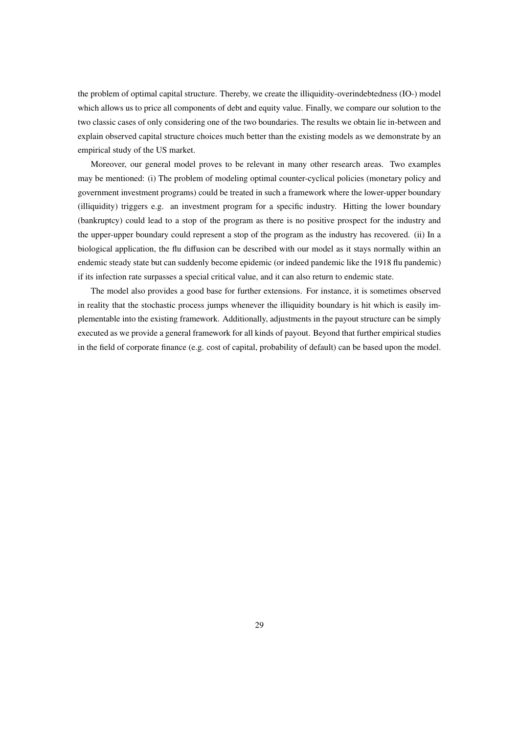the problem of optimal capital structure. Thereby, we create the illiquidity-overindebtedness (IO-) model which allows us to price all components of debt and equity value. Finally, we compare our solution to the two classic cases of only considering one of the two boundaries. The results we obtain lie in-between and explain observed capital structure choices much better than the existing models as we demonstrate by an empirical study of the US market.

Moreover, our general model proves to be relevant in many other research areas. Two examples may be mentioned: (i) The problem of modeling optimal counter-cyclical policies (monetary policy and government investment programs) could be treated in such a framework where the lower-upper boundary (illiquidity) triggers e.g. an investment program for a specific industry. Hitting the lower boundary (bankruptcy) could lead to a stop of the program as there is no positive prospect for the industry and the upper-upper boundary could represent a stop of the program as the industry has recovered. (ii) In a biological application, the flu diffusion can be described with our model as it stays normally within an endemic steady state but can suddenly become epidemic (or indeed pandemic like the 1918 flu pandemic) if its infection rate surpasses a special critical value, and it can also return to endemic state.

The model also provides a good base for further extensions. For instance, it is sometimes observed in reality that the stochastic process jumps whenever the illiquidity boundary is hit which is easily implementable into the existing framework. Additionally, adjustments in the payout structure can be simply executed as we provide a general framework for all kinds of payout. Beyond that further empirical studies in the field of corporate finance (e.g. cost of capital, probability of default) can be based upon the model.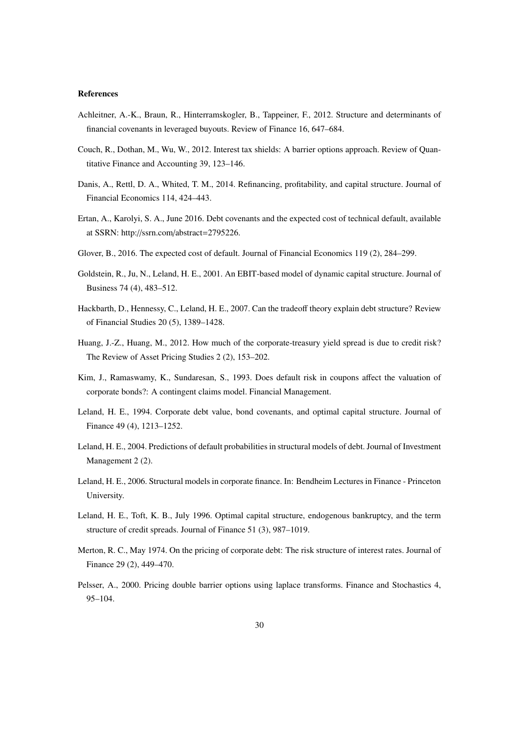#### References

- Achleitner, A.-K., Braun, R., Hinterramskogler, B., Tappeiner, F., 2012. Structure and determinants of financial covenants in leveraged buyouts. Review of Finance 16, 647–684.
- Couch, R., Dothan, M., Wu, W., 2012. Interest tax shields: A barrier options approach. Review of Quantitative Finance and Accounting 39, 123–146.
- Danis, A., Rettl, D. A., Whited, T. M., 2014. Refinancing, profitability, and capital structure. Journal of Financial Economics 114, 424–443.
- Ertan, A., Karolyi, S. A., June 2016. Debt covenants and the expected cost of technical default, available at SSRN: http://ssrn.com/abstract=2795226.
- Glover, B., 2016. The expected cost of default. Journal of Financial Economics 119 (2), 284–299.
- Goldstein, R., Ju, N., Leland, H. E., 2001. An EBIT-based model of dynamic capital structure. Journal of Business 74 (4), 483–512.
- Hackbarth, D., Hennessy, C., Leland, H. E., 2007. Can the tradeoff theory explain debt structure? Review of Financial Studies 20 (5), 1389–1428.
- Huang, J.-Z., Huang, M., 2012. How much of the corporate-treasury yield spread is due to credit risk? The Review of Asset Pricing Studies 2 (2), 153–202.
- Kim, J., Ramaswamy, K., Sundaresan, S., 1993. Does default risk in coupons affect the valuation of corporate bonds?: A contingent claims model. Financial Management.
- Leland, H. E., 1994. Corporate debt value, bond covenants, and optimal capital structure. Journal of Finance 49 (4), 1213–1252.
- Leland, H. E., 2004. Predictions of default probabilities in structural models of debt. Journal of Investment Management 2 (2).
- Leland, H. E., 2006. Structural models in corporate finance. In: Bendheim Lectures in Finance Princeton University.
- Leland, H. E., Toft, K. B., July 1996. Optimal capital structure, endogenous bankruptcy, and the term structure of credit spreads. Journal of Finance 51 (3), 987–1019.
- Merton, R. C., May 1974. On the pricing of corporate debt: The risk structure of interest rates. Journal of Finance 29 (2), 449–470.
- Pelsser, A., 2000. Pricing double barrier options using laplace transforms. Finance and Stochastics 4, 95–104.